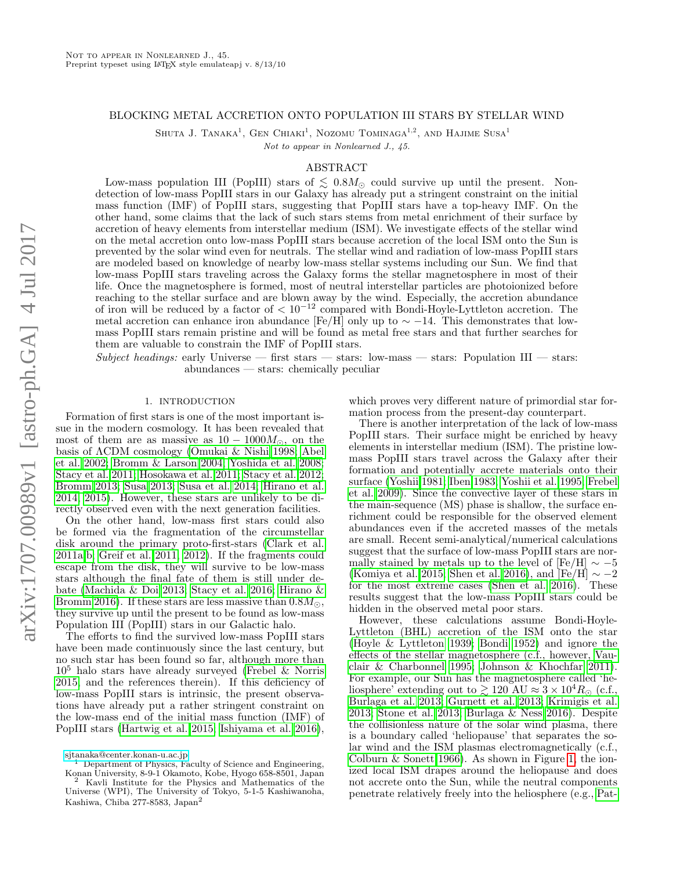## BLOCKING METAL ACCRETION ONTO POPULATION III STARS BY STELLAR WIND

SHUTA J. TANAKA<sup>1</sup>, GEN CHIAKI<sup>1</sup>, NOZOMU TOMINAGA<sup>1,2</sup>, AND HAJIME SUSA<sup>1</sup>

Not to appear in Nonlearned J., 45.

## ABSTRACT

Low-mass population III (PopIII) stars of  $\lesssim 0.8M_{\odot}$  could survive up until the present. Nondetection of low-mass PopIII stars in our Galaxy has already put a stringent constraint on the initial mass function (IMF) of PopIII stars, suggesting that PopIII stars have a top-heavy IMF. On the other hand, some claims that the lack of such stars stems from metal enrichment of their surface by accretion of heavy elements from interstellar medium (ISM). We investigate effects of the stellar wind on the metal accretion onto low-mass PopIII stars because accretion of the local ISM onto the Sun is prevented by the solar wind even for neutrals. The stellar wind and radiation of low-mass PopIII stars are modeled based on knowledge of nearby low-mass stellar systems including our Sun. We find that low-mass PopIII stars traveling across the Galaxy forms the stellar magnetosphere in most of their life. Once the magnetosphere is formed, most of neutral interstellar particles are photoionized before reaching to the stellar surface and are blown away by the wind. Especially, the accretion abundance of iron will be reduced by a factor of  $\langle 10^{-12} \text{ compared with Bondi-Hoyle-Lyttleton accretion.}$  The metal accretion can enhance iron abundance [Fe/H] only up to  $\sim -14$ . This demonstrates that lowmass PopIII stars remain pristine and will be found as metal free stars and that further searches for them are valuable to constrain the IMF of PopIII stars.

Subject headings: early Universe — first stars — stars: low-mass — stars: Population III — stars: abundances — stars: chemically peculiar

#### 1. INTRODUCTION

Formation of first stars is one of the most important issue in the modern cosmology. It has been revealed that most of them are as massive as  $10-1000M_{\odot}$ , on the basis of ΛCDM cosmology [\(Omukai & Nishi 1998;](#page-10-0) [Abel](#page-9-0) [et al. 2002;](#page-9-0) [Bromm & Larson 2004;](#page-10-1) [Yoshida et al. 2008;](#page-11-0) [Stacy et al. 2011;](#page-10-2) [Hosokawa et al. 2011;](#page-10-3) [Stacy et al. 2012;](#page-11-1) [Bromm 2013;](#page-10-4) [Susa 2013;](#page-11-2) [Susa et al. 2014;](#page-11-3) [Hirano et al.](#page-10-5) [2014,](#page-10-5) [2015\)](#page-10-6). However, these stars are unlikely to be directly observed even with the next generation facilities.

On the other hand, low-mass first stars could also be formed via the fragmentation of the circumstellar disk around the primary proto-first-stars [\(Clark et al.](#page-10-7) [2011a](#page-10-7)[,b;](#page-10-8) [Greif et al. 2011,](#page-10-9) [2012\)](#page-10-10). If the fragments could escape from the disk, they will survive to be low-mass stars although the final fate of them is still under debate [\(Machida & Doi 2013;](#page-10-11) [Stacy et al. 2016;](#page-10-12) [Hirano &](#page-10-13) [Bromm 2016\)](#page-10-13). If these stars are less massive than  $0.8M_{\odot}$ , they survive up until the present to be found as low-mass Population III (PopIII) stars in our Galactic halo.

The efforts to find the survived low-mass PopIII stars have been made continuously since the last century, but no such star has been found so far, although more than  $10<sup>5</sup>$  halo stars have already surveyed [\(Frebel & Norris](#page-10-14) [2015,](#page-10-14) and the references therein). If this deficiency of low-mass PopIII stars is intrinsic, the present observations have already put a rather stringent constraint on the low-mass end of the initial mass function (IMF) of PopIII stars [\(Hartwig et al. 2015;](#page-10-15) [Ishiyama et al. 2016\)](#page-10-16),

which proves very different nature of primordial star formation process from the present-day counterpart.

There is another interpretation of the lack of low-mass PopIII stars. Their surface might be enriched by heavy elements in interstellar medium (ISM). The pristine lowmass PopIII stars travel across the Galaxy after their formation and potentially accrete materials onto their surface [\(Yoshii 1981;](#page-11-4) [Iben 1983;](#page-10-17) [Yoshii et al. 1995;](#page-11-5) [Frebel](#page-10-18) [et al. 2009\)](#page-10-18). Since the convective layer of these stars in the main-sequence (MS) phase is shallow, the surface enrichment could be responsible for the observed element abundances even if the accreted masses of the metals are small. Recent semi-analytical/numerical calculations suggest that the surface of low-mass PopIII stars are normally stained by metals up to the level of  $[Fe/H] \sim -5$ [\(Komiya et al. 2015;](#page-10-19) [Shen et al. 2016\)](#page-10-20), and [Fe/H]  $\sim -2$ for the most extreme cases [\(Shen et al. 2016\)](#page-10-20). These results suggest that the low-mass PopIII stars could be hidden in the observed metal poor stars.

However, these calculations assume Bondi-Hoyle-Lyttleton (BHL) accretion of the ISM onto the star [\(Hoyle & Lyttleton 1939;](#page-10-21) [Bondi 1952\)](#page-9-1) and ignore the effects of the stellar magnetosphere (c.f., however, [Vau](#page-11-6)[clair & Charbonnel 1995;](#page-11-6) [Johnson & Khochfar 2011\)](#page-10-22). For example, our Sun has the magnetosphere called 'heliosphere' extending out to  $\gtrsim 120 \text{ AU} \approx 3 \times 10^4 R_{\odot}$  (c.f., [Burlaga et al. 2013;](#page-10-23) [Gurnett et al. 2013;](#page-10-24) [Krimigis et al.](#page-10-25) [2013;](#page-10-25) [Stone et al. 2013;](#page-11-7) [Burlaga & Ness 2016\)](#page-10-26). Despite the collisionless nature of the solar wind plasma, there is a boundary called 'heliopause' that separates the solar wind and the ISM plasmas electromagnetically (c.f., [Colburn & Sonett 1966\)](#page-10-27). As shown in Figure [1,](#page-1-0) the ionized local ISM drapes around the heliopause and does not accrete onto the Sun, while the neutral components penetrate relatively freely into the heliosphere (e.g., [Pat-](#page-10-28)

[sjtanaka@center.konan-u.ac.jp](mailto:sjtanaka@center.konan-u.ac.jp)

<sup>1</sup> Department of Physics, Faculty of Science and Engineering, Konan University, 8-9-1 Okamoto, Kobe, Hyogo 658-8501, Japan Kavli Institute for the Physics and Mathematics of the Universe (WPI), The University of Tokyo, 5-1-5 Kashiwanoha, Kashiwa, Chiba 277-8583, Japan<sup>2</sup>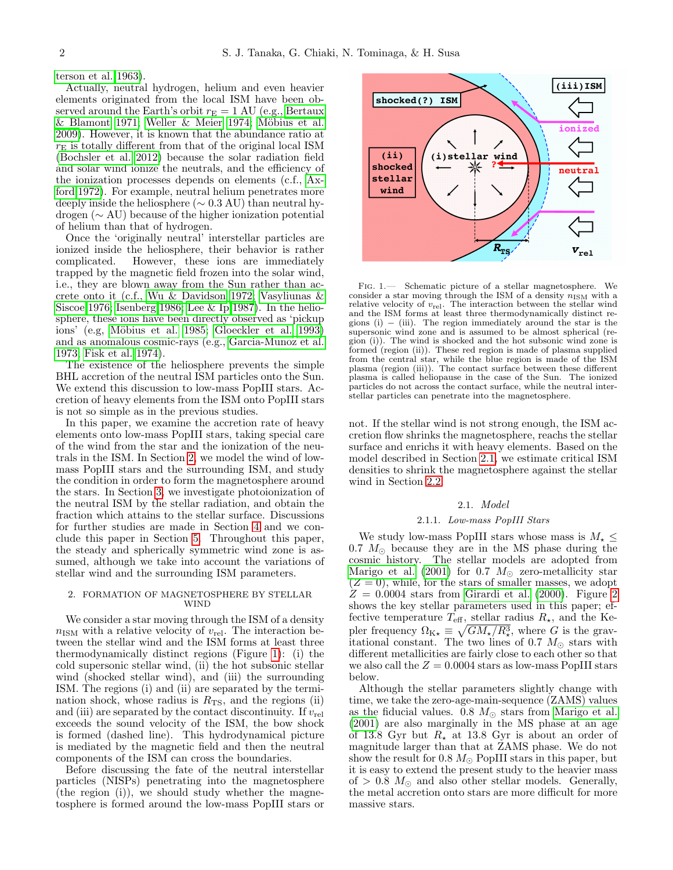[terson et al. 1963\)](#page-10-28).

Actually, neutral hydrogen, helium and even heavier elements originated from the local ISM have been observed around the Earth's orbit  $r_{\rm E} = 1$  AU (e.g., [Bertaux](#page-9-2)  $&$  Blamont 1971; Weller  $&$  Meier 1974; Möbius et al. [2009\)](#page-10-29). However, it is known that the abundance ratio at  $r_{\rm E}$  is totally different from that of the original local ISM [\(Bochsler et al. 2012\)](#page-9-3) because the solar radiation field and solar wind ionize the neutrals, and the efficiency of the ionization processes depends on elements (c.f., [Ax](#page-9-4)[ford 1972\)](#page-9-4). For example, neutral helium penetrates more deeply inside the heliosphere ( $\sim$  0.3 AU) than neutral hydrogen (∼ AU) because of the higher ionization potential of helium than that of hydrogen.

Once the 'originally neutral' interstellar particles are ionized inside the heliosphere, their behavior is rather complicated. However, these ions are immediately trapped by the magnetic field frozen into the solar wind, i.e., they are blown away from the Sun rather than accrete onto it (c.f., [Wu & Davidson 1972;](#page-11-9) [Vasyliunas &](#page-11-10) [Siscoe 1976;](#page-11-10) [Isenberg 1986;](#page-10-30) [Lee & Ip 1987\)](#page-10-31). In the heliosphere, these ions have been directly observed as 'pickup ions' (e.g, Möbius et al. 1985; [Gloeckler et al. 1993\)](#page-10-33) and as anomalous cosmic-rays (e.g., [Garcia-Munoz et al.](#page-10-34) [1973;](#page-10-34) [Fisk et al. 1974\)](#page-10-35).

The existence of the heliosphere prevents the simple BHL accretion of the neutral ISM particles onto the Sun. We extend this discussion to low-mass PopIII stars. Accretion of heavy elements from the ISM onto PopIII stars is not so simple as in the previous studies.

In this paper, we examine the accretion rate of heavy elements onto low-mass PopIII stars, taking special care of the wind from the star and the ionization of the neutrals in the ISM. In Section [2,](#page-1-1) we model the wind of lowmass PopIII stars and the surrounding ISM, and study the condition in order to form the magnetosphere around the stars. In Section [3,](#page-4-0) we investigate photoionization of the neutral ISM by the stellar radiation, and obtain the fraction which attains to the stellar surface. Discussions for further studies are made in Section [4](#page-8-0) and we conclude this paper in Section [5.](#page-9-5) Throughout this paper, the steady and spherically symmetric wind zone is assumed, although we take into account the variations of stellar wind and the surrounding ISM parameters.

#### <span id="page-1-1"></span>2. FORMATION OF MAGNETOSPHERE BY STELLAR WIND

We consider a star moving through the ISM of a density  $n_{\rm ISM}$  with a relative velocity of  $v_{\rm rel}$ . The interaction between the stellar wind and the ISM forms at least three thermodynamically distinct regions (Figure [1\)](#page-1-0): (i) the cold supersonic stellar wind, (ii) the hot subsonic stellar wind (shocked stellar wind), and (iii) the surrounding ISM. The regions (i) and (ii) are separated by the termination shock, whose radius is  $R_{\text{TS}}$ , and the regions (ii) and (iii) are separated by the contact discontinuity. If  $v_{rel}$ exceeds the sound velocity of the ISM, the bow shock is formed (dashed line). This hydrodynamical picture is mediated by the magnetic field and then the neutral components of the ISM can cross the boundaries.

Before discussing the fate of the neutral interstellar particles (NISPs) penetrating into the magnetosphere (the region (i)), we should study whether the magnetosphere is formed around the low-mass PopIII stars or



<span id="page-1-0"></span>Fig. 1.— Schematic picture of a stellar magnetosphere. We consider a star moving through the ISM of a density  $n_{\rm ISM}$  with a relative velocity of  $v_{\text{rel}}$ . The interaction between the stellar wind and the ISM forms at least three thermodynamically distinct regions (i)  $-$  (iii). The region immediately around the star is the supersonic wind zone and is assumed to be almost spherical (region (i)). The wind is shocked and the hot subsonic wind zone is formed (region (ii)). These red region is made of plasma supplied from the central star, while the blue region is made of the ISM plasma (region (iii)). The contact surface between these different plasma is called heliopause in the case of the Sun. The ionized particles do not across the contact surface, while the neutral interstellar particles can penetrate into the magnetosphere.

not. If the stellar wind is not strong enough, the ISM accretion flow shrinks the magnetosphere, reachs the stellar surface and enrichs it with heavy elements. Based on the model described in Section [2.1,](#page-1-2) we estimate critical ISM densities to shrink the magnetosphere against the stellar wind in Section [2.2.](#page-3-0)

# 2.1. Model

## 2.1.1. Low-mass PopIII Stars

<span id="page-1-3"></span><span id="page-1-2"></span>We study low-mass PopIII stars whose mass is  $M_{\star} \leq$  $0.7 M_{\odot}$  because they are in the MS phase during the cosmic history. The stellar models are adopted from [Marigo et al.](#page-10-36) [\(2001\)](#page-10-36) for 0.7  $M_{\odot}$  zero-metallicity star  $(Z = 0)$ , while, for the stars of smaller masses, we adopt  $Z = 0.0004$  stars from [Girardi et al.](#page-10-37) [\(2000\)](#page-10-37). Figure [2](#page-2-0) shows the key stellar parameters used in this paper; effective temperature  $T_{\text{eff}}$ , stellar radius  $R_{\star}$ , and the Kepler frequency  $\Omega_{K\star} \equiv \sqrt{GM_{\star}/R_{\star}^3}$ , where G is the gravitational constant. The two lines of 0.7  $M_{\odot}$  stars with different metallicities are fairly close to each other so that we also call the  $Z = 0.0004$  stars as low-mass PopIII stars below.

Although the stellar parameters slightly change with time, we take the zero-age-main-sequence (ZAMS) values as the fiducial values.  $0.8 M_{\odot}$  stars from [Marigo et al.](#page-10-36) [\(2001\)](#page-10-36) are also marginally in the MS phase at an age of 13.8 Gyr but  $R_{\star}$  at 13.8 Gyr is about an order of magnitude larger than that at ZAMS phase. We do not show the result for 0.8  $M_{\odot}$  PopIII stars in this paper, but it is easy to extend the present study to the heavier mass of  $> 0.8$   $M_{\odot}$  and also other stellar models. Generally, the metal accretion onto stars are more difficult for more massive stars.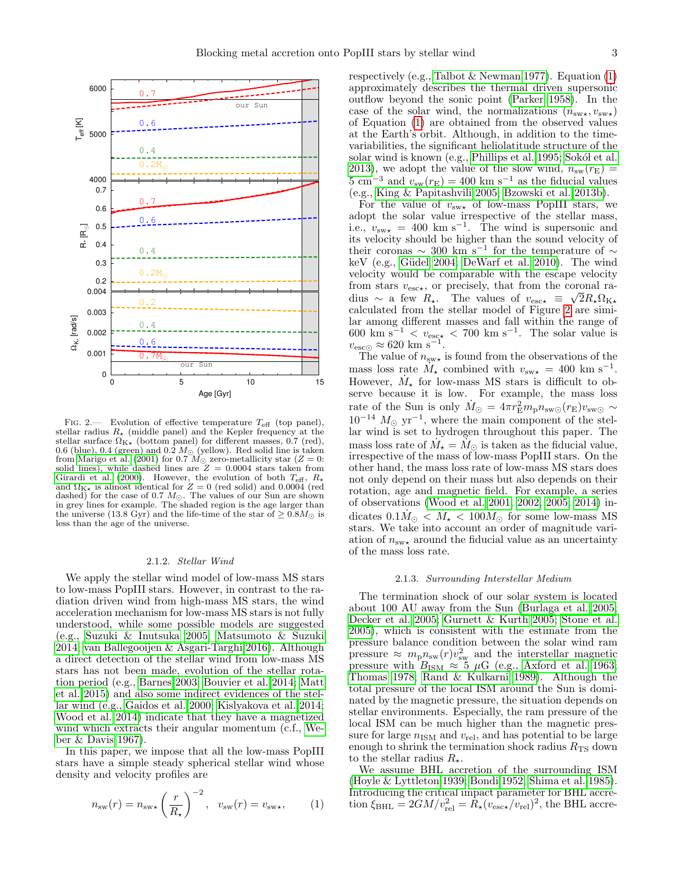

<span id="page-2-0"></span>FIG. 2.— Evolution of effective temperature  $T_{\text{eff}}$  (top panel), stellar radius  $R_{\star}$  (middle panel) and the Kepler frequency at the stellar surface  $\Omega_{\rm K\star}$  (bottom panel) for different masses, 0.7 (red), 0.6 (blue), 0.4 (green) and 0.2  $M_{\odot}$  (yellow). Red solid line is taken from [Marigo et al.](#page-10-36) [\(2001\)](#page-10-36) for 0.7  $M_{\odot}$  zero-metallicity star ( $Z = 0$ : solid lines), while dashed lines are  $Z = 0.0004$  stars taken from [Girardi et al.](#page-10-37) [\(2000\)](#page-10-37). However, the evolution of both  $T_{\text{eff}}$ ,  $R_{\star}$ and  $\Omega_{K\star}$  is almost identical for  $Z = 0$  (red solid) and 0.0004 (red dashed) for the case of 0.7  $M_{\odot}$ . The values of our Sun are shown in grey lines for example. The shaded region is the age larger than the universe (13.8 Gyr) and the life-time of the star of  $\geq 0.8M_{\odot}$  is less than the age of the universe.

## 2.1.2. Stellar Wind

We apply the stellar wind model of low-mass MS stars to low-mass PopIII stars. However, in contrast to the radiation driven wind from high-mass MS stars, the wind acceleration mechanism for low-mass MS stars is not fully understood, while some possible models are suggested (e.g., [Suzuki & Inutsuka 2005;](#page-11-11) [Matsumoto & Suzuki](#page-10-38) [2014;](#page-10-38) [van Ballegooijen & Asgari-Targhi 2016\)](#page-11-12). Although a direct detection of the stellar wind from low-mass MS stars has not been made, evolution of the stellar rotation period (e.g., [Barnes 2003;](#page-9-6) [Bouvier et al. 2014;](#page-9-7) [Matt](#page-10-39) [et al. 2015\)](#page-10-39) and also some indirect evidences of the stellar wind (e.g., [Gaidos et al. 2000;](#page-10-40) [Kislyakova et al. 2014;](#page-10-41) [Wood et al. 2014\)](#page-11-13) indicate that they have a magnetized wind which extracts their angular momentum (c.f., [We](#page-11-14)[ber & Davis 1967\)](#page-11-14).

In this paper, we impose that all the low-mass PopIII stars have a simple steady spherical stellar wind whose density and velocity profiles are

<span id="page-2-1"></span>
$$
n_{\rm sw}(r) = n_{\rm sw\star} \left(\frac{r}{R_{\star}}\right)^{-2}, \quad v_{\rm sw}(r) = v_{\rm sw\star}, \tag{1}
$$

respectively (e.g., [Talbot & Newman 1977\)](#page-11-15). Equation  $(1)$ approximately describes the thermal driven supersonic outflow beyond the sonic point [\(Parker 1958\)](#page-10-42). In the case of the solar wind, the normalizations  $(n_{\text{sw}\star}, v_{\text{sw}\star})$ of Equation [\(1\)](#page-2-1) are obtained from the observed values at the Earth's orbit. Although, in addition to the timevariabilities, the significant heliolatitude structure of the solar wind is known (e.g., [Phillips et al. 1995;](#page-10-43) Sokół et al. [2013\)](#page-10-44), we adopt the value of the slow wind,  $n_{sw}(r_{E}) =$  $5 \text{ cm}^{-3}$  and  $v_{\text{sw}}(r_{\text{E}}) = 400 \text{ km s}^{-1}$  as the fiducial values (e.g., [King & Papitashvili 2005;](#page-10-45) [Bzowski et al. 2013b\)](#page-10-46).

For the value of  $v_{\text{sw}}$  of low-mass PopIII stars, we adopt the solar value irrespective of the stellar mass, i.e.,  $v_{\text{sw}} = 400 \text{ km s}^{-1}$ . The wind is supersonic and its velocity should be higher than the sound velocity of their coronas  $\sim$  300 km s<sup>-1</sup> for the temperature of  $\sim$ keV (e.g., Güdel 2004; [DeWarf et al. 2010\)](#page-10-48). The wind velocity would be comparable with the escape velocity from stars  $v_{\text{esc}\star}$ , or precisely, that from the coronal radius ~ a few  $R_{\star}$ . The values of  $v_{\text{esc}\star} \equiv \sqrt{2}R_{\star}\Omega_{\text{K}\star}$ calculated from the stellar model of Figure [2](#page-2-0) are similar among different masses and fall within the range of  $600 \text{ km s}^{-1} < v_{\text{esc}\star} < 700 \text{ km s}^{-1}$ . The solar value is  $v_{\rm esc\odot} \approx 620 \text{ km s}^{-1}.$ 

The value of  $n_{\text{sw}}$  is found from the observations of the mass loss rate  $\hat{M}_{\star}$  combined with  $v_{\text{sw}_{\star}} = 400 \text{ km s}^{-1}$ . However,  $\dot{M}_{\star}$  for low-mass MS stars is difficult to observe because it is low. For example, the mass loss rate of the Sun is only  $\dot{M}_{\odot} = 4\pi r_{\rm E}^2 m_{\rm p} n_{\rm sw\odot}(r_{\rm E}) v_{\rm sw\odot} \sim$  $10^{-14}$   $M_{\odot}$  yr<sup>-1</sup>, where the main component of the stellar wind is set to hydrogen throughout this paper. The mass loss rate of  $\dot{M}_\star = \dot{M}_\odot$  is taken as the fiducial value, irrespective of the mass of low-mass PopIII stars. On the other hand, the mass loss rate of low-mass MS stars does not only depend on their mass but also depends on their rotation, age and magnetic field. For example, a series of observations [\(Wood et al. 2001,](#page-11-16) [2002,](#page-11-17) [2005,](#page-11-18) [2014\)](#page-11-13) indicates  $0.1 \dot{M}_{\odot} < \dot{M}_{\star} < 100 \dot{M}_{\odot}$  for some low-mass MS stars. We take into account an order of magnitude variation of  $n_{\text{sw}}$  around the fiducial value as an uncertainty of the mass loss rate.

## 2.1.3. Surrounding Interstellar Medium

The termination shock of our solar system is located about 100 AU away from the Sun [\(Burlaga et al. 2005;](#page-10-49) [Decker et al. 2005;](#page-10-50) [Gurnett & Kurth 2005;](#page-10-51) [Stone et al.](#page-11-19) [2005\)](#page-11-19), which is consistent with the estimate from the pressure balance condition between the solar wind ram pressure  $\approx m_p n_{\rm sw}(r) v_{\rm sw}^2$  and the interstellar magnetic pressure with  $B_{\text{ISM}} \approx 5 \mu \text{G}$  (e.g., [Axford et al. 1963;](#page-9-8) [Thomas 1978;](#page-11-20) [Rand & Kulkarni 1989\)](#page-10-52). Although the total pressure of the local ISM around the Sun is dominated by the magnetic pressure, the situation depends on stellar environments. Especially, the ram pressure of the local ISM can be much higher than the magnetic pressure for large  $n_{\text{ISM}}$  and  $v_{\text{rel}}$ , and has potential to be large enough to shrink the termination shock radius  $R_{\text{TS}}$  down to the stellar radius  $R_{\star}$ .

We assume BHL accretion of the surrounding ISM [\(Hoyle & Lyttleton 1939;](#page-10-21) [Bondi 1952;](#page-9-1) [Shima et al. 1985\)](#page-10-53). Introducing the critical impact parameter for BHL accretion  $\xi_{\text{BHL}} = 2GM/v_{\text{rel}}^2 = \hat{R}_{\star}(v_{\text{esc}\star}/v_{\text{rel}})^2$ , the BHL accre-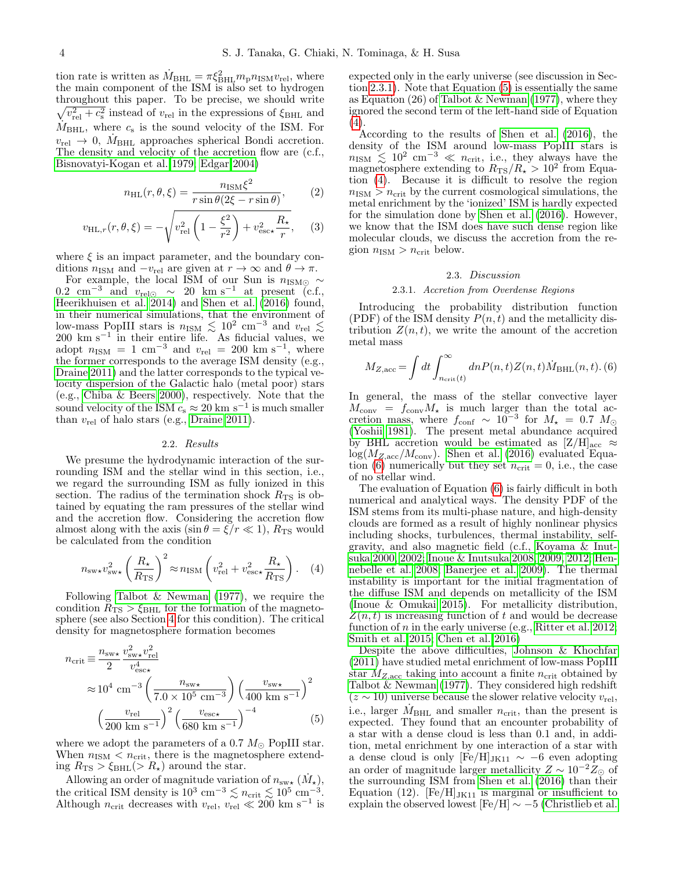tion rate is written as  $\dot{M}_{\text{BHL}} = \pi \xi_{\text{BHL}}^2 m_{\text{p}} n_{\text{ISM}} v_{\text{rel}}$ , where the main component of the ISM is also set to hydrogen throughout this paper. To be precise, we should write  $\sqrt{v_{\text{rel}}^2 + c_{\text{s}}^2}$  instead of  $v_{\text{rel}}$  in the expressions of  $\xi_{\text{BHL}}$  and  $\dot{M}_{\text{BHL}}$ , where  $c_{\text{s}}$  is the sound velocity of the ISM. For  $v_{\text{rel}} \rightarrow 0$ ,  $M_{\text{BHL}}$  approaches spherical Bondi accretion. The density and velocity of the accretion flow are (c.f., [Bisnovatyi-Kogan et al. 1979;](#page-9-9) [Edgar 2004\)](#page-10-54)

<span id="page-3-5"></span>
$$
n_{\rm HL}(r,\theta,\xi) = \frac{n_{\rm ISM}\xi^2}{r\sin\theta(2\xi - r\sin\theta)},\qquad(2)
$$

$$
v_{\text{HL},r}(r,\theta,\xi) = -\sqrt{v_{\text{rel}}^2 \left(1 - \frac{\xi^2}{r^2}\right) + v_{\text{esc}\star}^2 \frac{R_\star}{r}},\qquad(3)
$$

where  $\xi$  is an impact parameter, and the boundary conditions  $n_{\text{ISM}}$  and  $-v_{\text{rel}}$  are given at  $r \to \infty$  and  $\theta \to \pi$ .

For example, the local ISM of our Sun is  $n_{\rm ISM\odot} \sim$  $0.2 \text{ cm}^{-3}$  and  $v_{\text{rel}\odot} \sim 20 \text{ km s}^{-1}$  at present (c.f., [Heerikhuisen et al. 2014\)](#page-10-55) and [Shen et al.](#page-10-20) [\(2016\)](#page-10-20) found, in their numerical simulations, that the environment of low-mass PopIII stars is  $n_{\text{ISM}} \lesssim 10^2 \text{ cm}^{-3}$  and  $v_{\text{rel}} \lesssim$ 200 km s<sup>−</sup><sup>1</sup> in their entire life. As fiducial values, we adopt  $n_{\rm ISM} = 1$  cm<sup>-3</sup> and  $v_{\rm rel} = 200$  km s<sup>-1</sup>, where the former corresponds to the average ISM density (e.g., [Draine 2011\)](#page-10-56) and the latter corresponds to the typical velocity dispersion of the Galactic halo (metal poor) stars (e.g., [Chiba & Beers 2000\)](#page-10-57), respectively. Note that the sound velocity of the ISM  $c_s \approx 20 \text{ km s}^{-1}$  is much smaller than  $v_{rel}$  of halo stars (e.g., [Draine 2011\)](#page-10-56).

## 2.2. Results

<span id="page-3-0"></span>We presume the hydrodynamic interaction of the surrounding ISM and the stellar wind in this section, i.e., we regard the surrounding ISM as fully ionized in this section. The radius of the termination shock  $R_{\text{TS}}$  is obtained by equating the ram pressures of the stellar wind and the accretion flow. Considering the accretion flow almost along with the axis  $(\sin \theta = \xi / r \ll 1)$ ,  $R_{\text{TS}}$  would be calculated from the condition

<span id="page-3-3"></span>
$$
n_{\rm sw\star} v_{\rm sw\star}^2 \left(\frac{R_\star}{R_{\rm TS}}\right)^2 \approx n_{\rm ISM} \left(v_{\rm rel}^2 + v_{\rm esc\star}^2 \frac{R_\star}{R_{\rm TS}}\right). \quad (4)
$$

Following [Talbot & Newman](#page-11-15) [\(1977\)](#page-11-15), we require the condition  $R_{\text{TS}} > \xi_{\text{BHL}}$  for the formation of the magnetosphere (see also Section [4](#page-8-0) for this condition). The critical density for magnetosphere formation becomes

<span id="page-3-2"></span>
$$
n_{\text{crit}} \equiv \frac{n_{\text{sw} \star}}{2} \frac{v_{\text{sw} \star}^2 v_{\text{rel}}^2}{v_{\text{esc} \star}^4}
$$
  
\n
$$
\approx 10^4 \text{ cm}^{-3} \left(\frac{n_{\text{sw} \star}}{7.0 \times 10^5 \text{ cm}^{-3}}\right) \left(\frac{v_{\text{sw} \star}}{400 \text{ km s}^{-1}}\right)^2
$$
  
\n
$$
\left(\frac{v_{\text{rel}}}{200 \text{ km s}^{-1}}\right)^2 \left(\frac{v_{\text{esc} \star}}{680 \text{ km s}^{-1}}\right)^{-4}
$$
 (5)

where we adopt the parameters of a 0.7  $M_{\odot}$  PopIII star. When  $n_{\text{ISM}} < n_{\text{crit}}$ , there is the magnetosphere extending  $R_{\text{TS}} > \xi_{\text{BHL}}(> R_{\star})$  around the star.

Allowing an order of magnitude variation of  $n_{\text{sw}_{\star}}(\dot{M}_{\star}),$ the critical ISM density is  $10^3 \text{ cm}^{-3} \lesssim n_{\text{crit}} \lesssim 10^5 \text{ cm}^{-3}$ . Although  $n_{\text{crit}}$  decreases with  $v_{\text{rel}}$ ,  $v_{\text{rel}} \ll 200$  km s<sup>-1</sup> is expected only in the early universe (see discussion in Section [2.3.1\)](#page-3-1). Note that Equation [\(5\)](#page-3-2) is essentially the same as Equation (26) of [Talbot & Newman](#page-11-15) [\(1977\)](#page-11-15), where they ignored the second term of the left-hand side of Equation [\(4\)](#page-3-3).

According to the results of [Shen et al.](#page-10-20) [\(2016\)](#page-10-20), the density of the ISM around low-mass PopIII stars is  $n_{\rm ISM} \leq 10^2$  cm<sup>-3</sup>  $\ll n_{\rm crit}$ , i.e., they always have the magnetosphere extending to  $R_{\text{TS}}/R_{\star} > 10^2$  from Equation [\(4\)](#page-3-3). Because it is difficult to resolve the region  $n_{ISM} > n_{crit}$  by the current cosmological simulations, the metal enrichment by the 'ionized' ISM is hardly expected for the simulation done by [Shen et al.](#page-10-20) [\(2016\)](#page-10-20). However, we know that the ISM does have such dense region like molecular clouds, we discuss the accretion from the region  $n_{\rm ISM} > n_{\rm crit}$  below.

#### 2.3. Discussion

## 2.3.1. Accretion from Overdense Regions

<span id="page-3-1"></span>Introducing the probability distribution function (PDF) of the ISM density  $P(n, t)$  and the metallicity distribution  $Z(n, t)$ , we write the amount of the accretion metal mass

<span id="page-3-4"></span>
$$
M_{Z,\text{acc}} = \int dt \int_{n_{\text{crit}}(t)}^{\infty} dn P(n, t) Z(n, t) \dot{M}_{\text{BHL}}(n, t). (6)
$$

In general, the mass of the stellar convective layer  $M_{\text{conv}} = f_{\text{conv}} M_{\star}$  is much larger than the total accretion mass, where  $f_{\text{conf}} \sim 10^{-3}$  for  $M_{\star} = 0.7$   $M_{\odot}$ [\(Yoshii 1981\)](#page-11-4). The present metal abundance acquired by BHL accretion would be estimated as  $[Z/H]_{\text{acc}} \approx$  $log(M_{Z,\text{acc}}/M_{\text{conv}})$ . [Shen et al.](#page-10-20) [\(2016\)](#page-10-20) evaluated Equa-tion [\(6\)](#page-3-4) numerically but they set  $n_{\text{crit}} = 0$ , i.e., the case of no stellar wind.

The evaluation of Equation [\(6\)](#page-3-4) is fairly difficult in both numerical and analytical ways. The density PDF of the ISM stems from its multi-phase nature, and high-density clouds are formed as a result of highly nonlinear physics including shocks, turbulences, thermal instability, selfgravity, and also magnetic field (c.f., [Koyama & Inut](#page-10-58)[suka 2000,](#page-10-58) [2002;](#page-10-59) [Inoue & Inutsuka 2008,](#page-10-60) [2009,](#page-10-61) [2012;](#page-10-62) [Hen](#page-10-63)[nebelle et al. 2008;](#page-10-63) [Banerjee et al. 2009\)](#page-9-10). The thermal instability is important for the initial fragmentation of the diffuse ISM and depends on metallicity of the ISM [\(Inoue & Omukai 2015\)](#page-10-64). For metallicity distribution,  $Z(n, t)$  is increasing function of t and would be decrease function of  $n$  in the early universe (e.g., [Ritter et al. 2012;](#page-10-65) [Smith et al. 2015;](#page-10-66) [Chen et al. 2016\)](#page-10-67)

Despite the above difficulties, [Johnson & Khochfar](#page-10-22) [\(2011\)](#page-10-22) have studied metal enrichment of low-mass PopIII star  $M_{Z,\text{acc}}$  taking into account a finite  $n_{\text{crit}}$  obtained by Talbot  $&$  Newman [\(1977\)](#page-11-15). They considered high redshift  $(z \sim 10)$  universe because the slower relative velocity  $v_{\text{rel}}$ , i.e., larger  $M_{\text{BHL}}$  and smaller  $n_{\text{crit}}$ , than the present is expected. They found that an encounter probability of a star with a dense cloud is less than 0.1 and, in addition, metal enrichment by one interaction of a star with a dense cloud is only  $[Fe/H]_{JK11} \sim -6$  even adopting an order of magnitude larger metallicity  $Z \sim 10^{-2} Z_{\odot}$  of the surrounding ISM from [Shen et al.](#page-10-20) [\(2016\)](#page-10-20) than their Equation (12).  $[Fe/H]_{JK11}$  is marginal or insufficient to explain the observed lowest  $[Fe/H] \sim -5$  [\(Christlieb et al.](#page-10-68)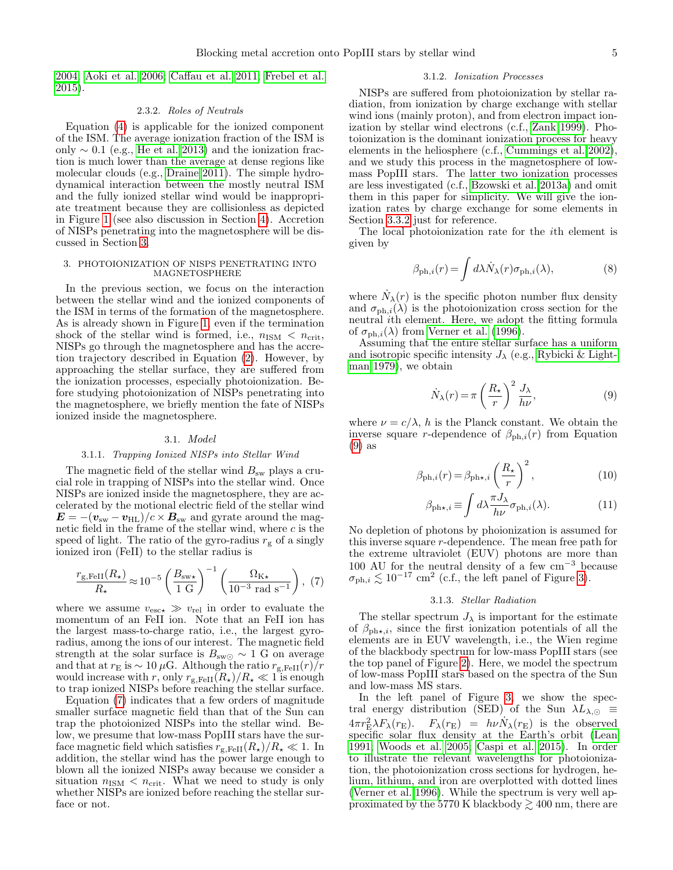[2004;](#page-10-68) [Aoki et al. 2006;](#page-9-11) [Caffau et al. 2011;](#page-10-69) [Frebel et al.](#page-10-70) [2015\)](#page-10-70).

## 2.3.2. Roles of Neutrals

Equation [\(4\)](#page-3-3) is applicable for the ionized component of the ISM. The average ionization fraction of the ISM is only  $\sim 0.1$  (e.g., [He et al. 2013\)](#page-10-71) and the ionization fraction is much lower than the average at dense regions like molecular clouds (e.g., [Draine 2011\)](#page-10-56). The simple hydrodynamical interaction between the mostly neutral ISM and the fully ionized stellar wind would be inappropriate treatment because they are collisionless as depicted in Figure [1](#page-1-0) (see also discussion in Section [4\)](#page-8-0). Accretion of NISPs penetrating into the magnetosphere will be discussed in Section [3.](#page-4-0)

#### <span id="page-4-0"></span>3. PHOTOIONIZATION OF NISPS PENETRATING INTO MAGNETOSPHERE

In the previous section, we focus on the interaction between the stellar wind and the ionized components of the ISM in terms of the formation of the magnetosphere. As is already shown in Figure [1,](#page-1-0) even if the termination shock of the stellar wind is formed, i.e.,  $n_{ISM} < n_{crit}$ , NISPs go through the magnetosphere and has the accretion trajectory described in Equation [\(2\)](#page-3-5). However, by approaching the stellar surface, they are suffered from the ionization processes, especially photoionization. Before studying photoionization of NISPs penetrating into the magnetosphere, we briefly mention the fate of NISPs ionized inside the magnetosphere.

## 3.1. Model

### 3.1.1. Trapping Ionized NISPs into Stellar Wind

The magnetic field of the stellar wind  $B_{\rm sw}$  plays a crucial role in trapping of NISPs into the stellar wind. Once NISPs are ionized inside the magnetosphere, they are accelerated by the motional electric field of the stellar wind  $\mathbf{E} = -(\mathbf{v}_{\rm sw} - \mathbf{v}_{\rm HL})/c \times \mathbf{B}_{\rm sw}$  and gyrate around the magnetic field in the frame of the stellar wind, where  $c$  is the speed of light. The ratio of the gyro-radius  $r_g$  of a singly ionized iron (FeII) to the stellar radius is

<span id="page-4-1"></span>
$$
\frac{r_{\rm g,FeII}(R_{\star})}{R_{\star}} \approx 10^{-5} \left(\frac{B_{\rm sw\star}}{1 \rm \ G}\right)^{-1} \left(\frac{\Omega_{\rm K\star}}{10^{-3} \rm \ rad \ s^{-1}}\right), (7)
$$

where we assume  $v_{\text{esc}} \gg v_{\text{rel}}$  in order to evaluate the momentum of an FeII ion. Note that an FeII ion has the largest mass-to-charge ratio, i.e., the largest gyroradius, among the ions of our interest. The magnetic field strength at the solar surface is  $B_{\rm sw}$  ∼ 1 G on average and that at  $r_E$  is  $\sim 10 \mu$ G. Although the ratio  $r_{g,FeII}(r)/r$ would increase with r, only  $r_{\text{g,FeII}}(R_{\star})/R_{\star} \ll 1$  is enough to trap ionized NISPs before reaching the stellar surface.

Equation [\(7\)](#page-4-1) indicates that a few orders of magnitude smaller surface magnetic field than that of the Sun can trap the photoionized NISPs into the stellar wind. Below, we presume that low-mass PopIII stars have the surface magnetic field which satisfies  $r_{\rm g,FeII}(R_{\star})/R_{\star} \ll 1$ . In addition, the stellar wind has the power large enough to blown all the ionized NISPs away because we consider a situation  $n_{\rm ISM} < n_{\rm crit}$ . What we need to study is only whether NISPs are ionized before reaching the stellar surface or not.

#### 3.1.2. Ionization Processes

NISPs are suffered from photoionization by stellar radiation, from ionization by charge exchange with stellar wind ions (mainly proton), and from electron impact ionization by stellar wind electrons (c.f., [Zank 1999\)](#page-11-21). Photoionization is the dominant ionization process for heavy elements in the heliosphere (c.f., [Cummings et al. 2002\)](#page-10-72), and we study this process in the magnetosphere of lowmass PopIII stars. The latter two ionization processes are less investigated (c.f., [Bzowski et al. 2013a\)](#page-10-73) and omit them in this paper for simplicity. We will give the ionization rates by charge exchange for some elements in Section [3.3.2](#page-7-0) just for reference.

The local photoionization rate for the ith element is given by

<span id="page-4-3"></span>
$$
\beta_{\mathrm{ph},i}(r) = \int d\lambda \dot{N}_{\lambda}(r) \sigma_{\mathrm{ph},i}(\lambda),\tag{8}
$$

where  $\dot{N}_{\lambda}(r)$  is the specific photon number flux density and  $\sigma_{ph,i}(\lambda)$  is the photoionization cross section for the neutral ith element. Here, we adopt the fitting formula of  $\sigma_{\text{ph},i}(\lambda)$  from [Verner et al.](#page-11-22) [\(1996\)](#page-11-22).

Assuming that the entire stellar surface has a uniform and isotropic specific intensity  $J_{\lambda}$  (e.g., [Rybicki & Light](#page-10-74)[man 1979\)](#page-10-74), we obtain

<span id="page-4-2"></span>
$$
\dot{N}_{\lambda}(r) = \pi \left(\frac{R_{\star}}{r}\right)^2 \frac{J_{\lambda}}{h\nu},\tag{9}
$$

where  $\nu = c/\lambda$ , h is the Planck constant. We obtain the inverse square r-dependence of  $\beta_{ph,i}(r)$  from Equation [\(9\)](#page-4-2) as

<span id="page-4-4"></span>
$$
\beta_{\mathrm{ph},i}(r) = \beta_{\mathrm{ph}\star,i} \left(\frac{R_{\star}}{r}\right)^2,\tag{10}
$$

$$
\beta_{\text{ph}\star,i} \equiv \int d\lambda \frac{\pi J_{\lambda}}{h\nu} \sigma_{\text{ph},i}(\lambda). \tag{11}
$$

No depletion of photons by phoionization is assumed for this inverse square r-dependence. The mean free path for the extreme ultraviolet (EUV) photons are more than 100 AU for the neutral density of a few  $cm^{-3}$  because  $\sigma_{\text{ph},i} \lesssim 10^{-17}$  cm<sup>2</sup> (c.f., the left panel of Figure [3\)](#page-5-0).

# 3.1.3. Stellar Radiation

The stellar spectrum  $J_{\lambda}$  is important for the estimate of  $\beta_{\text{ph}\star,i}$ , since the first ionization potentials of all the elements are in EUV wavelength, i.e., the Wien regime of the blackbody spectrum for low-mass PopIII stars (see the top panel of Figure [2\)](#page-2-0). Here, we model the spectrum of low-mass PopIII stars based on the spectra of the Sun and low-mass MS stars.

In the left panel of Figure [3,](#page-5-0) we show the spectral energy distribution (SED) of the Sun  $\lambda L_{\lambda,\odot} \equiv$  $4\pi r_{\rm E}^2 \lambda F_{\lambda}(r_{\rm E})$ .  $F_{\lambda}(r_{\rm E})$  =  $h\nu N_{\lambda}(r_{\rm E})$  is the observed specific solar flux density at the Earth's orbit [\(Lean](#page-10-75) [1991;](#page-10-75) [Woods et al. 2005;](#page-11-23) [Caspi et al. 2015\)](#page-10-76). In order to illustrate the relevant wavelengths for photoionization, the photoionization cross sections for hydrogen, helium, lithium, and iron are overplotted with dotted lines [\(Verner et al. 1996\)](#page-11-22). While the spectrum is very well approximated by the 5770 K blackbody  $\gtrsim 400$  nm, there are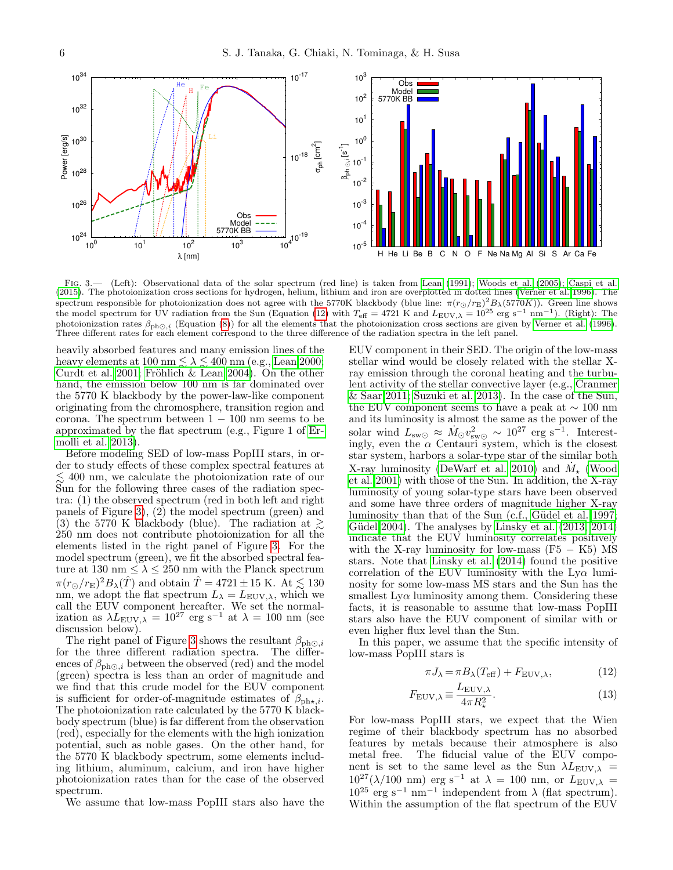

<span id="page-5-0"></span>FIG. 3.— (Left): Observational data of the solar spectrum (red line) is taken from [Lean](#page-10-75) [\(1991\)](#page-10-75); [Woods et al.](#page-11-23) [\(2005\)](#page-11-23); [Caspi et al.](#page-10-76) [\(2015\)](#page-10-76). The photoionization cross sections for hydrogen, helium, lithium and iron are overplotted in dotted lines [\(Verner et al. 1996\)](#page-11-22). The spectrum responsible for photoionization does not agree with the 5770K blackbody (blue line:  $\pi(r_{\odot}/r_{\rm E})^2 B_{\lambda}(5770K)$ ). Green line shows the model spectrum for UV radiation from the Sun (Equation [\(12\)](#page-5-1) with  $T_{\text{eff}} = 4721 \text{ K}$  and  $L_{\text{EUV},\lambda} = 10^{25} \text{ erg s}^{-1} \text{ nm}^{-1}$ ). (Right): The photoionization rates  $\beta_{ph\odot,i}$  (Equation [\(8\)](#page-4-3)) for all the elements that the photoionization cross sections are given by [Verner et al.](#page-11-22) [\(1996\)](#page-11-22).<br>Three different rates for each element correspond to the three difference of

heavily absorbed features and many emission lines of the heavy elements at 100 nm  $\lesssim \lambda \lesssim 400$  nm (e.g., [Lean 2000;](#page-10-77) [Curdt et al. 2001;](#page-10-78) Fröhlich & Lean 2004). On the other hand, the emission below 100 nm is far dominated over the 5770 K blackbody by the power-law-like component originating from the chromosphere, transition region and corona. The spectrum between  $1 - 100$  nm seems to be approximated by the flat spectrum (e.g., Figure 1 of [Er](#page-10-80)[molli et al. 2013\)](#page-10-80).

Before modeling SED of low-mass PopIII stars, in order to study effects of these complex spectral features at  $\lesssim$  400 nm, we calculate the photoionization rate of our Sun for the following three cases of the radiation spectra: (1) the observed spectrum (red in both left and right panels of Figure [3\)](#page-5-0), (2) the model spectrum (green) and (3) the 5770 K blackbody (blue). The radiation at  $\geq$ 250 nm does not contribute photoionization for all the elements listed in the right panel of Figure [3.](#page-5-0) For the model spectrum (green), we fit the absorbed spectral feature at 130 nm  $\leq \lambda \leq 250$  nm with the Planck spectrum  $\pi (r_{\odot}/r_{\rm E})^2 B_{\lambda}(\hat{T})$  and obtain  $\hat{T} = 4721 \pm 15$  K. At  $\lesssim 130$ nm, we adopt the flat spectrum  $L_{\lambda} = L_{\text{EUV},\lambda}$ , which we call the EUV component hereafter. We set the normalization as  $\lambda L_{\text{EUV},\lambda} = 10^{27} \text{ erg s}^{-1}$  at  $\lambda = 100 \text{ nm}$  (see discussion below).

The right panel of Figure [3](#page-5-0) shows the resultant  $\beta_{\text{ph}\odot i}$ for the three different radiation spectra. The differences of  $\beta_{ph\odot,i}$  between the observed (red) and the model (green) spectra is less than an order of magnitude and we find that this crude model for the EUV component is sufficient for order-of-magnitude estimates of  $\beta_{\text{ph}\star,i}$ . The photoionization rate calculated by the 5770 K blackbody spectrum (blue) is far different from the observation (red), especially for the elements with the high ionization potential, such as noble gases. On the other hand, for the 5770 K blackbody spectrum, some elements including lithium, aluminum, calcium, and iron have higher photoionization rates than for the case of the observed spectrum.

We assume that low-mass PopIII stars also have the

EUV component in their SED. The origin of the low-mass stellar wind would be closely related with the stellar Xray emission through the coronal heating and the turbulent activity of the stellar convective layer (e.g., [Cranmer](#page-10-81) [& Saar 2011;](#page-10-81) [Suzuki et al. 2013\)](#page-11-24). In the case of the Sun, the EUV component seems to have a peak at  $\sim$  100 nm and its luminosity is almost the same as the power of the solar wind  $L_{\text{sw}\odot} \approx \dot{M}_{\odot} v_{\text{sw}\odot}^2 \sim 10^{27} \text{ erg s}^{-1}$ . Interestingly, even the  $\alpha$  Centauri system, which is the closest star system, harbors a solar-type star of the similar both X-ray luminosity [\(DeWarf et al. 2010\)](#page-10-48) and  $\dot{M}_{\star}$  [\(Wood](#page-11-16) [et al. 2001\)](#page-11-16) with those of the Sun. In addition, the X-ray luminosity of young solar-type stars have been observed and some have three orders of magnitude higher X-ray luminosity than that of the Sun (c.f., Güdel et al. 1997; Güdel 2004). The analyses by [Linsky et al.](#page-10-83)  $(2013, 2014)$  $(2013, 2014)$ indicate that the EUV luminosity correlates positively with the X-ray luminosity for low-mass  $(F5 - K5)$  MS stars. Note that [Linsky et al.](#page-10-84) [\(2014\)](#page-10-84) found the positive correlation of the EUV luminosity with the  $Ly\alpha$  luminosity for some low-mass MS stars and the Sun has the smallest  $Ly\alpha$  luminosity among them. Considering these facts, it is reasonable to assume that low-mass PopIII stars also have the EUV component of similar with or even higher flux level than the Sun.

In this paper, we assume that the specific intensity of low-mass PopIII stars is

<span id="page-5-1"></span>
$$
\pi J_{\lambda} = \pi B_{\lambda} (T_{\text{eff}}) + F_{\text{EUV}, \lambda}, \qquad (12)
$$

$$
F_{\text{EUV},\lambda} \equiv \frac{L_{\text{EUV},\lambda}}{4\pi R_{\star}^2}.
$$
 (13)

For low-mass PopIII stars, we expect that the Wien regime of their blackbody spectrum has no absorbed features by metals because their atmosphere is also metal free. The fiducial value of the EUV component is set to the same level as the Sun  $\lambda L_{\text{EUV},\lambda}$  =  $10^{27}(\lambda/100 \text{ nm})$  erg s<sup>-1</sup> at  $\lambda = 100 \text{ nm}$ , or  $L_{\text{EUV},\lambda}$  =  $10^{25}$  erg s<sup>-1</sup> nm<sup>-1</sup> independent from  $\lambda$  (flat spectrum). Within the assumption of the flat spectrum of the EUV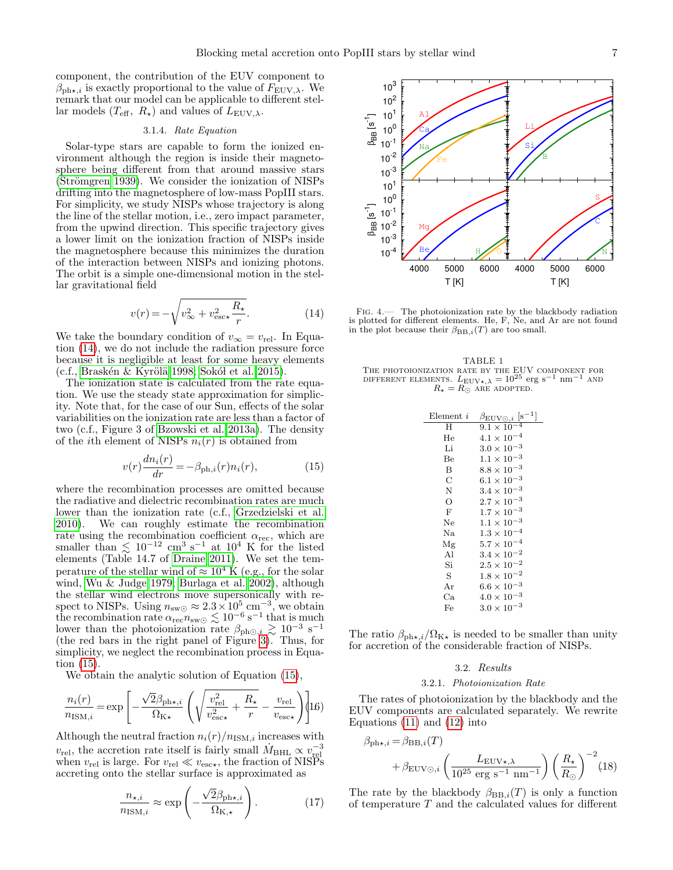component, the contribution of the EUV component to  $\beta_{\text{ph}\star,i}$  is exactly proportional to the value of  $F_{\text{EUV},\lambda}$ . We remark that our model can be applicable to different stellar models  $(T_{\text{eff}}, R_{\star})$  and values of  $L_{\text{EUV},\lambda}$ .

## 3.1.4. Rate Equation

Solar-type stars are capable to form the ionized environment although the region is inside their magnetosphere being different from that around massive stars  $(Strömgren 1939)$ . We consider the ionization of NISPs drifting into the magnetosphere of low-mass PopIII stars. For simplicity, we study NISPs whose trajectory is along the line of the stellar motion, i.e., zero impact parameter, from the upwind direction. This specific trajectory gives a lower limit on the ionization fraction of NISPs inside the magnetosphere because this minimizes the duration of the interaction between NISPs and ionizing photons. The orbit is a simple one-dimensional motion in the stellar gravitational field

<span id="page-6-0"></span>
$$
v(r) = -\sqrt{v_{\infty}^2 + v_{\text{esc}\star}^2 \frac{R_{\star}}{r}}.\tag{14}
$$

We take the boundary condition of  $v_{\infty} = v_{rel}$ . In Equation [\(14\)](#page-6-0), we do not include the radiation pressure force because it is negligible at least for some heavy elements  $(c.f., Braskén & Kyrölä 1998; Sokól et al. 2015).$ 

The ionization state is calculated from the rate equation. We use the steady state approximation for simplicity. Note that, for the case of our Sun, effects of the solar variabilities on the ionization rate are less than a factor of two (c.f., Figure 3 of [Bzowski et al. 2013a\)](#page-10-73). The density of the *i*th element of NISPs  $n_i(r)$  is obtained from

<span id="page-6-1"></span>
$$
v(r)\frac{dn_i(r)}{dr} = -\beta_{\text{ph},i}(r)n_i(r),\tag{15}
$$

where the recombination processes are omitted because the radiative and dielectric recombination rates are much lower than the ionization rate (c.f., [Grzedzielski et al.](#page-10-87) [2010\)](#page-10-87). We can roughly estimate the recombination rate using the recombination coefficient  $\alpha_{\text{rec}}$ , which are smaller than  $\lesssim 10^{-12}$  cm<sup>3</sup> s<sup>-1</sup> at 10<sup>4</sup> K for the listed elements (Table 14.7 of [Draine 2011\)](#page-10-56). We set the temperature of the stellar wind of  $\approx 10^4$  K (e.g., for the solar wind, [Wu & Judge 1979;](#page-11-26) [Burlaga et al. 2002\)](#page-10-88), although the stellar wind electrons move supersonically with respect to NISPs. Using  $n_{\rm sw\odot} \approx 2.3 \times 10^5$  cm<sup>-3</sup>, we obtain the recombination rate  $\alpha_{\text{rec}} n_{\text{sw}\odot} \lesssim 10^{-6} \text{ s}^{-1}$  that is much lower than the photoionization rate  $\beta_{ph\odot,i} \gtrsim 10^{-3}$  s<sup>-1</sup> (the red bars in the right panel of Figure [3\)](#page-5-0). Thus, for simplicity, we neglect the recombination process in Equation [\(15\)](#page-6-1).

We obtain the analytic solution of Equation [\(15\)](#page-6-1),

<span id="page-6-2"></span>
$$
\frac{n_i(r)}{n_{\text{ISM},i}} = \exp\left[-\frac{\sqrt{2}\beta_{\text{ph}\star,i}}{\Omega_{\text{K}\star}}\left(\sqrt{\frac{v_{\text{rel}}^2}{v_{\text{esc}\star}^2} + \frac{R_{\star}}{r}} - \frac{v_{\text{rel}}}{v_{\text{esc}\star}}\right)\right]16)
$$

Although the neutral fraction  $n_i(r)/n_{\text{ISM},i}$  increases with  $v_{\text{rel}}$ , the accretion rate itself is fairly small  $M_{\text{BHL}} \propto v_{\text{rel}}^{-3}$ when  $v_{\text{rel}}$  is large. For  $v_{\text{rel}} \ll v_{\text{esc}\star}$ , the fraction of NISPs accreting onto the stellar surface is approximated as

<span id="page-6-6"></span>
$$
\frac{n_{\star,i}}{n_{\text{ISM},i}} \approx \exp\left(-\frac{\sqrt{2}\beta_{\text{ph}\star,i}}{\Omega_{\text{K},\star}}\right). \tag{17}
$$



<span id="page-6-3"></span>Fig. 4.— The photoionization rate by the blackbody radiation is plotted for different elements. He, F, Ne, and Ar are not found in the plot because their  $\beta_{\text{BB},i}(T)$  are too small.

<span id="page-6-5"></span>

| TABLE 1 |                                                                                                    |  |                                      |  |  |  |  |  |  |
|---------|----------------------------------------------------------------------------------------------------|--|--------------------------------------|--|--|--|--|--|--|
|         | THE PHOTOIONIZATION RATE BY THE EUV COMPONENT FOR                                                  |  |                                      |  |  |  |  |  |  |
|         | DIFFERENT ELEMENTS. $L_{\text{EUV}\star,\lambda} = 10^{25} \text{ erg s}^{-1} \text{ nm}^{-1}$ AND |  |                                      |  |  |  |  |  |  |
|         |                                                                                                    |  | $R_{\star} = R_{\odot}$ ARE ADOPTED. |  |  |  |  |  |  |

| Element i  | $\beta_{\text{EUV}\odot,i}$ [s <sup>-1</sup> ] |
|------------|------------------------------------------------|
| H          | $9.1 \times 10^{-4}$                           |
| He         | $4.1\times10^{-4}$                             |
| Li         | $3.0 \times 10^{-3}$                           |
| Be         | $1.1 \times 10^{-3}$                           |
| B          | $8.8 \times 10^{-3}$                           |
| С          | $6.1 \times 10^{-3}$                           |
| N          | $3.4 \times 10^{-3}$                           |
| O          | $2.7 \times 10^{-3}$                           |
| $_{\rm F}$ | $1.7 \times 10^{-3}$                           |
| Ne         | $1.1 \times 10^{-3}$                           |
| Na.        | $1.3\times10^{-4}$                             |
| Mg         | $5.7\times10^{-4}$                             |
| Al         | $3.4 \times 10^{-2}$                           |
| Si         | $2.5 \times 10^{-2}$                           |
| S          | $1.8 \times 10^{-2}$                           |
| Ar         | $6.6 \times 10^{-3}$                           |
| Сa         | $4.0 \times 10^{-3}$                           |
| Fe         | $3.0 \times 10^{-3}$                           |

The ratio  $\beta_{\text{ph}\star,i}/\Omega_{\text{K}\star}$  is needed to be smaller than unity for accretion of the considerable fraction of NISPs.

#### 3.2. Results

#### 3.2.1. Photoionization Rate

The rates of photoionization by the blackbody and the EUV components are calculated separately. We rewrite Equations [\(11\)](#page-4-4) and [\(12\)](#page-5-1) into

<span id="page-6-4"></span>
$$
\beta_{\text{ph}\star,i} = \beta_{\text{BB},i}(T)
$$
  
+  $\beta_{\text{EUV}\odot,i} \left( \frac{L_{\text{EUV}\star,\lambda}}{10^{25} \text{ erg s}^{-1} \text{ nm}^{-1}} \right) \left( \frac{R_{\star}}{R_{\odot}} \right)^{-2} (18)$ 

The rate by the blackbody  $\beta_{\text{BB},i}(T)$  is only a function of temperature T and the calculated values for different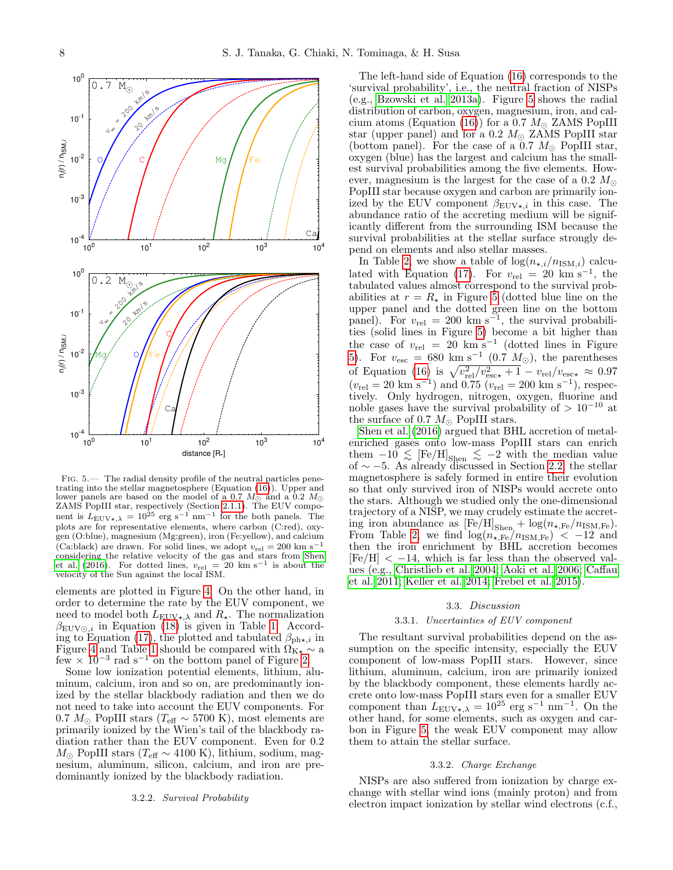

<span id="page-7-1"></span>Fig. 5.— The radial density profile of the neutral particles penetrating into the stellar magnetosphere (Equation [\(16\)](#page-6-2)). Upper and lower panels are based on the model of a 0.7  $M_{\odot}$  and a 0.2  $M_{\odot}$ ZAMS PopIII star, respectively (Section [2.1.1\)](#page-1-3). The EUV component is  $L_{\text{EUV}\star,\lambda} = 10^{25} \text{ erg s}^{-1} \text{ nm}^{-1}$  for the both panels. The plots are for representative elements, where carbon (C:red), oxygen (O:blue), magnesium (Mg:green), iron (Fe:yellow), and calcium (Ca:black) are drawn. For solid lines, we adopt  $v_{\text{rel}} = 200 \text{ km s}^{-1}$ considering the relative velocity of the gas and stars from [Shen](#page-10-20) [et al.](#page-10-20) [\(2016\)](#page-10-20). For dotted lines,  $v_{rel} = 20 \text{ km s}^{-1}$  is about the velocity of the Sun against the local ISM.

elements are plotted in Figure [4.](#page-6-3) On the other hand, in order to determine the rate by the EUV component, we need to model both  $L_{\text{EUV}\star, \lambda}$  and  $R_{\star}$ . The normalization  $\beta_{\text{EUV}\odot,i}$  in Equation [\(18\)](#page-6-4) is given in Table [1.](#page-6-5) Accord-ing to Equation [\(17\)](#page-6-6), the plotted and tabulated  $\beta_{\text{ph}\star,i}$  in Figure [4](#page-6-3) and Table [1](#page-6-5) should be compared with  $\Omega_{K_{\star}} \sim a$  $f_{\text{ew}} \times 10^{-3}$  rad s<sup>-1</sup> on the bottom panel of Figure [2.](#page-2-0)

Some low ionization potential elements, lithium, aluminum, calcium, iron and so on, are predominantly ionized by the stellar blackbody radiation and then we do not need to take into account the EUV components. For 0.7  $M_{\odot}$  PopIII stars ( $T_{\text{eff}} \sim 5700 \text{ K}$ ), most elements are primarily ionized by the Wien's tail of the blackbody radiation rather than the EUV component. Even for 0.2  $M_{\odot}$  PopIII stars ( $T_{\text{eff}} \sim 4100$  K), lithium, sodium, magnesium, aluminum, silicon, calcium, and iron are predominantly ionized by the blackbody radiation.

## 3.2.2. Survival Probability

The left-hand side of Equation [\(16\)](#page-6-2) corresponds to the 'survival probability', i.e., the neutral fraction of NISPs (e.g., [Bzowski et al. 2013a\)](#page-10-73). Figure [5](#page-7-1) shows the radial distribution of carbon, oxygen, magnesium, iron, and cal-cium atoms (Equation [\(16\)](#page-6-2)) for a 0.7  $M_{\odot}$  ZAMS PopIII star (upper panel) and for a 0.2  $M_{\odot}$  ZAMS PopIII star (bottom panel). For the case of a 0.7  $M_{\odot}$  PopIII star, oxygen (blue) has the largest and calcium has the smallest survival probabilities among the five elements. However, magnesium is the largest for the case of a 0.2  $M_{\odot}$ PopIII star because oxygen and carbon are primarily ionized by the EUV component  $\beta_{\text{EUV}\star,i}$  in this case. The abundance ratio of the accreting medium will be significantly different from the surrounding ISM because the survival probabilities at the stellar surface strongly depend on elements and also stellar masses.

In Table [2,](#page-8-1) we show a table of  $log(n_{\star,i}/n_{\text{ISM},i})$  calcu-lated with Equation [\(17\)](#page-6-6). For  $v_{rel} = 20 \text{ km s}^{-1}$ , the tabulated values almost correspond to the survival probabilities at  $r = R_{\star}$  in Figure [5](#page-7-1) (dotted blue line on the upper panel and the dotted green line on the bottom panel). For  $v_{\text{rel}} = 200 \text{ km s}^{-1}$ , the survival probabilities (solid lines in Figure [5\)](#page-7-1) become a bit higher than the case of  $v_{\text{rel}} = 20 \text{ km s}^{-1}$  (dotted lines in Figure [5\)](#page-7-1). For  $v_{\text{esc}} = 680 \text{ km s}^{-1} (0.7 M_{\odot})$ , the parentheses of Equation [\(16\)](#page-6-2) is  $\sqrt{v_{\text{rel}}^2/v_{\text{esc}\star}^2 + 1} - v_{\text{rel}}/v_{\text{esc}\star} \approx 0.97$  $(v_{\text{rel}} = 20 \text{ km s}^{-1})$  and 0.75  $(v_{\text{rel}} = 200 \text{ km s}^{-1})$ , respectively. Only hydrogen, nitrogen, oxygen, fluorine and noble gases have the survival probability of  $> 10^{-10}$  at the surface of 0.7  $M_{\odot}$  PopIII stars.

[Shen et al.](#page-10-20) [\(2016\)](#page-10-20) argued that BHL accretion of metalenriched gases onto low-mass PopIII stars can enrich them  $-10 \leq$  [Fe/H] $_{\text{Shen}} \leq -2$  with the median value of  $\sim$  −5. As already discussed in Section [2.2,](#page-3-0) the stellar magnetosphere is safely formed in entire their evolution so that only survived iron of NISPs would accrete onto the stars. Although we studied only the one-dimensional trajectory of a NISP, we may crudely estimate the accreting iron abundance as  $[Fe/H]_{Shen}$  +  $\log(n_{\star,Fe}/n_{ISM,Fe})$ . From Table [2,](#page-8-1) we find  $\log(n_{\star,Fe}/n_{ISM,Fe}) < -12$  and then the iron enrichment by BHL accretion becomes  $[Fe/H] < -14$ , which is far less than the observed values (e.g., [Christlieb et al. 2004;](#page-10-68) [Aoki et al. 2006;](#page-9-11) [Caffau](#page-10-69) [et al. 2011;](#page-10-69) [Keller et al. 2014;](#page-10-89) [Frebel et al. 2015\)](#page-10-70).

### 3.3. Discussion

#### 3.3.1. Uncertainties of EUV component

The resultant survival probabilities depend on the assumption on the specific intensity, especially the EUV component of low-mass PopIII stars. However, since lithium, aluminum, calcium, iron are primarily ionized by the blackbody component, these elements hardly accrete onto low-mass PopIII stars even for a smaller EUV component than  $L_{\text{EUV}\star,\lambda} = 10^{25} \text{ erg s}^{-1} \text{ nm}^{-1}$ . On the other hand, for some elements, such as oxygen and carbon in Figure [5,](#page-7-1) the weak EUV component may allow them to attain the stellar surface.

#### 3.3.2. Charge Exchange

<span id="page-7-0"></span>NISPs are also suffered from ionization by charge exchange with stellar wind ions (mainly proton) and from electron impact ionization by stellar wind electrons (c.f.,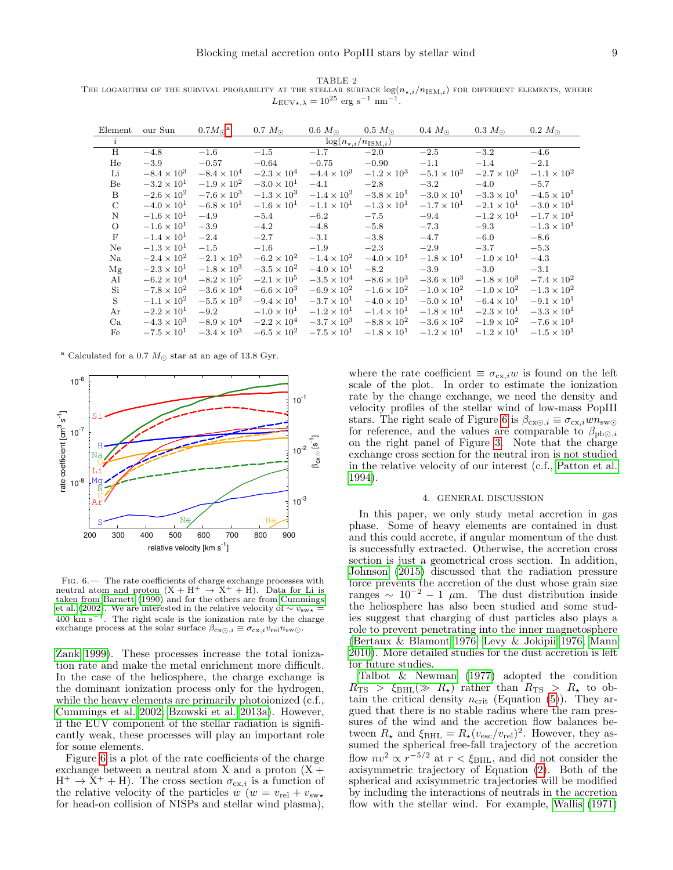<span id="page-8-1"></span>TABLE 2 THE LOGARITHM OF THE SURVIVAL PROBABILITY AT THE STELLAR SURFACE  $log(n_{\star,i}/n_{\rm ISM,i})$  for different elements, where  $L_{\text{EUV}\star,\lambda} = 10^{25} \text{ erg s}^{-1} \text{ nm}^{-1}.$ 

| Element       | our Sun                           | $0.7 M_{\odot}$ <sup>a</sup> | $0.7~M_{\odot}$      | $0.6 M_{\odot}$      | $0.5 M_{\odot}$      | $0.4 M_{\odot}$      | $0.3 M_{\odot}$      | $0.2 M_{\odot}$      |  |  |  |
|---------------|-----------------------------------|------------------------------|----------------------|----------------------|----------------------|----------------------|----------------------|----------------------|--|--|--|
| i             | $\log(n_{\star,i}/n_{\rm ISM,i})$ |                              |                      |                      |                      |                      |                      |                      |  |  |  |
| H             | $-4.8$                            | $-1.6$                       | $-1.5$               | $-1.7$               | $-2.0$               | $-2.5$               | $-3.2$               | $-4.6$               |  |  |  |
| He            | $-3.9$                            | $-0.57$                      | $-0.64$              | $-0.75$              | $-0.90$              | $-1.1$               | $-1.4$               | $-2.1$               |  |  |  |
| Li            | $-8.4 \times 10^{3}$              | $-8.4 \times 10^4$           | $-2.3 \times 10^{4}$ | $-4.4 \times 10^{3}$ | $-1.2 \times 10^{3}$ | $-5.1 \times 10^{2}$ | $-2.7 \times 10^{2}$ | $-1.1 \times 10^{2}$ |  |  |  |
| Be            | $-3.2 \times 10^{1}$              | $-1.9 \times 10^{2}$         | $-3.0 \times 10^{1}$ | $-4.1$               | $-2.8$               | $-3.2$               | $-4.0$               | $-5.7$               |  |  |  |
| <sub>B</sub>  | $-2.6 \times 10^{2}$              | $-7.6 \times 10^{3}$         | $-1.3 \times 10^{3}$ | $-1.4 \times 10^{2}$ | $-3.8 \times 10^{1}$ | $-3.0 \times 10^{1}$ | $-3.3 \times 10^{1}$ | $-4.5 \times 10^{1}$ |  |  |  |
| $\mathcal{C}$ | $-4.0 \times 10^{1}$              | $-6.8 \times 10^{1}$         | $-1.6 \times 10^{1}$ | $-1.1 \times 10^{1}$ | $-1.3 \times 10^{1}$ | $-1.7 \times 10^{1}$ | $-2.1 \times 10^{1}$ | $-3.0 \times 10^{1}$ |  |  |  |
| $\mathbf N$   | $-1.6 \times 10^{1}$              | $-4.9$                       | $-5.4$               | $-6.2$               | $-7.5$               | $-9.4$               | $-1.2 \times 10^{1}$ | $-1.7 \times 10^{1}$ |  |  |  |
| $\circ$       | $-1.6 \times 10^{1}$              | $-3.9$                       | $-4.2$               | $-4.8$               | $-5.8$               | $-7.3$               | $-9.3$               | $-1.3 \times 10^{1}$ |  |  |  |
| F             | $-1.4 \times 10^{1}$              | $-2.4$                       | $-2.7$               | $-3.1$               | $-3.8$               | $-4.7$               | $-6.0$               | $-8.6$               |  |  |  |
| Ne            | $-1.3 \times 10^{1}$              | $-1.5$                       | $-1.6$               | $-1.9$               | $-2.3$               | $-2.9$               | $-3.7$               | $-5.3$               |  |  |  |
| Na            | $-2.4 \times 10^{2}$              | $-2.1 \times 10^{3}$         | $-6.2 \times 10^{2}$ | $-1.4 \times 10^{2}$ | $-4.0 \times 10^{1}$ | $-1.8 \times 10^{1}$ | $-1.0 \times 10^{1}$ | $-4.3$               |  |  |  |
| Mg            | $-2.3 \times 10^{1}$              | $-1.8 \times 10^{3}$         | $-3.5 \times 10^{2}$ | $-4.0 \times 10^{1}$ | $-8.2$               | $-3.9$               | $-3.0$               | $-3.1$               |  |  |  |
| Al            | $-6.2 \times 10^{4}$              | $-8.2 \times 10^{5}$         | $-2.1 \times 10^{5}$ | $-3.5 \times 10^{4}$ | $-8.6 \times 10^{3}$ | $-3.6 \times 10^{3}$ | $-1.8 \times 10^{3}$ | $-7.4 \times 10^{2}$ |  |  |  |
| Si            | $-7.8 \times 10^{2}$              | $-3.6 \times 10^{4}$         | $-6.6 \times 10^{3}$ | $-6.9 \times 10^{2}$ | $-1.6 \times 10^{2}$ | $-1.0 \times 10^{2}$ | $-1.0 \times 10^{2}$ | $-1.3 \times 10^{2}$ |  |  |  |
| S             | $-1.1 \times 10^{2}$              | $-5.5 \times 10^{2}$         | $-9.4 \times 10^{1}$ | $-3.7 \times 10^{1}$ | $-4.0 \times 10^{1}$ | $-5.0 \times 10^{1}$ | $-6.4 \times 10^{1}$ | $-9.1 \times 10^{1}$ |  |  |  |
| Ar            | $-2.2 \times 10^{1}$              | $-9.2$                       | $-1.0 \times 10^{1}$ | $-1.2 \times 10^{1}$ | $-1.4 \times 10^{1}$ | $-1.8 \times 10^{1}$ | $-2.3 \times 10^{1}$ | $-3.3 \times 10^{1}$ |  |  |  |
| Ca            | $-4.3 \times 10^{3}$              | $-8.9 \times 10^{4}$         | $-2.2 \times 10^{4}$ | $-3.7 \times 10^{3}$ | $-8.8 \times 10^{2}$ | $-3.6 \times 10^{2}$ | $-1.9 \times 10^{2}$ | $-7.6 \times 10^{1}$ |  |  |  |
| Fe            | $-7.5 \times 10^{1}$              | $-3.4 \times 10^{3}$         | $-6.5 \times 10^{2}$ | $-7.5 \times 10^{1}$ | $-1.8 \times 10^{1}$ | $-1.2 \times 10^{1}$ | $-1.2 \times 10^{1}$ | $-1.5 \times 10^{1}$ |  |  |  |

<span id="page-8-2"></span><sup>a</sup> Calculated for a 0.7  $M_{\odot}$  star at an age of 13.8 Gyr.



<span id="page-8-3"></span>FIG.  $6$  – The rate coefficients of charge exchange processes with neutral atom and proton  $(X + H^+ \rightarrow X^+ + H)$ . Data for Li is taken from [Barnett](#page-9-12) [\(1990\)](#page-9-12) and for the others are from [Cummings](#page-10-72) [et al.](#page-10-72) [\(2002\)](#page-10-72). We are interested in the relative velocity of  $\sim v_{\text{sw}\star} =$  $400 \text{ km s}^{-1}$ . The right scale is the ionization rate by the charge exchange process at the solar surface  $\beta_{\text{cx}\odot,i} \equiv \sigma_{\text{cx},i} v_{\text{rel}} n_{\text{sw}\odot}$ .

[Zank 1999\)](#page-11-21). These processes increase the total ionization rate and make the metal enrichment more difficult. In the case of the heliosphere, the charge exchange is the dominant ionization process only for the hydrogen, while the heavy elements are primarily photoionized (c.f., [Cummings et al. 2002;](#page-10-72) [Bzowski et al. 2013a\)](#page-10-73). However, if the EUV component of the stellar radiation is significantly weak, these processes will play an important role for some elements.

Figure [6](#page-8-3) is a plot of the rate coefficients of the charge exchange between a neutral atom X and a proton  $(X +$  $H^+ \to \bar{X}^+ + H$ ). The cross section  $\sigma_{cx,i}$  is a function of the relative velocity of the particles  $w(w = v_{rel} + v_{sw*})$ for head-on collision of NISPs and stellar wind plasma),

where the rate coefficient  $\equiv \sigma_{\text{cx},i}w$  is found on the left scale of the plot. In order to estimate the ionization rate by the change exchange, we need the density and velocity profiles of the stellar wind of low-mass PopIII stars. The right scale of Figure [6](#page-8-3) is  $\beta_{\text{cx}\odot,i} \equiv \sigma_{\text{cx},i} w n_{\text{sw}\odot}$ for reference, and the values are comparable to  $\beta_{\text{ph}\odot,i}$ on the right panel of Figure [3.](#page-5-0) Note that the charge exchange cross section for the neutral iron is not studied in the relative velocity of our interest (c.f., [Patton et al.](#page-10-90) [1994\)](#page-10-90).

#### 4. GENERAL DISCUSSION

<span id="page-8-0"></span>In this paper, we only study metal accretion in gas phase. Some of heavy elements are contained in dust and this could accrete, if angular momentum of the dust is successfully extracted. Otherwise, the accretion cross section is just a geometrical cross section. In addition, [Johnson](#page-10-91) [\(2015\)](#page-10-91) discussed that the radiation pressure force prevents the accretion of the dust whose grain size ranges  $\sim 10^{-2} - 1$  µm. The dust distribution inside the heliosphere has also been studied and some studies suggest that charging of dust particles also plays a role to prevent penetrating into the inner magnetosphere [\(Bertaux & Blamont 1976;](#page-9-13) [Levy & Jokipii 1976;](#page-10-92) [Mann](#page-10-93) [2010\)](#page-10-93). More detailed studies for the dust accretion is left for future studies.

[Talbot & Newman](#page-11-15) [\(1977\)](#page-11-15) adopted the condition  $R_{\text{TS}} > \xi_{\text{BHL}} (\gg R_{\star})$  rather than  $R_{\text{TS}} > R_{\star}$  to obtain the critical density  $n_{\text{crit}}$  (Equation [\(5\)](#page-3-2)). They argued that there is no stable radius where the ram pressures of the wind and the accretion flow balances between  $R_{\star}$  and  $\xi_{\text{BHL}} = R_{\star}(v_{\text{esc}}/v_{\text{rel}})^{2}$ . However, they assumed the spherical free-fall trajectory of the accretion flow  $nv^2 \propto r^{-5/2}$  at  $r < \xi_{\text{BHL}}$ , and did not consider the axisymmetric trajectory of Equation [\(2\)](#page-3-5). Both of the spherical and axisymmetric trajectories will be modified by including the interactions of neutrals in the accretion flow with the stellar wind. For example, [Wallis](#page-11-27)  $(1971)$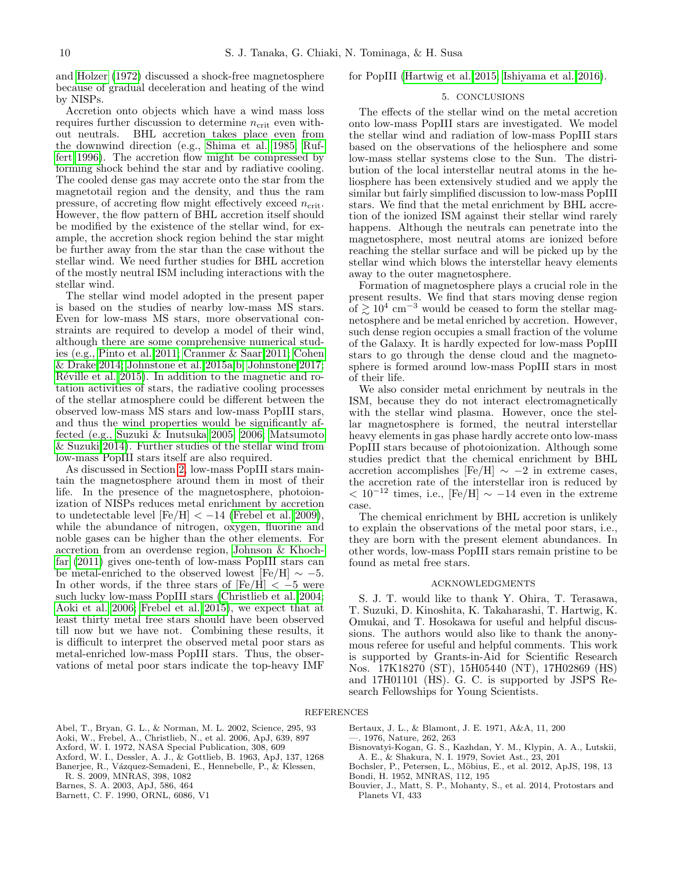and [Holzer](#page-10-94) [\(1972\)](#page-10-94) discussed a shock-free magnetosphere because of gradual deceleration and heating of the wind by NISPs.

Accretion onto objects which have a wind mass loss requires further discussion to determine  $n_{\text{crit}}$  even without neutrals. BHL accretion takes place even from the downwind direction (e.g., [Shima et al. 1985;](#page-10-53) [Ruf](#page-10-95)[fert 1996\)](#page-10-95). The accretion flow might be compressed by forming shock behind the star and by radiative cooling. The cooled dense gas may accrete onto the star from the magnetotail region and the density, and thus the ram pressure, of accreting flow might effectively exceed  $n_{\text{crit}}$ . However, the flow pattern of BHL accretion itself should be modified by the existence of the stellar wind, for example, the accretion shock region behind the star might be further away from the star than the case without the stellar wind. We need further studies for BHL accretion of the mostly neutral ISM including interactions with the stellar wind.

The stellar wind model adopted in the present paper is based on the studies of nearby low-mass MS stars. Even for low-mass MS stars, more observational constraints are required to develop a model of their wind, although there are some comprehensive numerical studies (e.g., [Pinto et al. 2011;](#page-10-96) [Cranmer & Saar 2011;](#page-10-81) [Cohen](#page-10-97) [& Drake 2014;](#page-10-97) [Johnstone et al. 2015a,](#page-10-98)[b;](#page-10-99) [Johnstone 2017;](#page-10-100) Réville et al. 2015). In addition to the magnetic and rotation activities of stars, the radiative cooling processes of the stellar atmosphere could be different between the observed low-mass MS stars and low-mass PopIII stars, and thus the wind properties would be significantly affected (e.g., [Suzuki & Inutsuka 2005,](#page-11-11) [2006;](#page-11-28) [Matsumoto](#page-10-38) [& Suzuki 2014\)](#page-10-38). Further studies of the stellar wind from low-mass PopIII stars itself are also required.

As discussed in Section [2,](#page-1-1) low-mass PopIII stars maintain the magnetosphere around them in most of their life. In the presence of the magnetosphere, photoionization of NISPs reduces metal enrichment by accretion to undetectable level  $[Fe/H] < -14$  [\(Frebel et al. 2009\)](#page-10-18), while the abundance of nitrogen, oxygen, fluorine and noble gases can be higher than the other elements. For accretion from an overdense region, [Johnson & Khoch](#page-10-22)[far](#page-10-22) [\(2011\)](#page-10-22) gives one-tenth of low-mass PopIII stars can be metal-enriched to the observed lowest [Fe/H]  $\sim -5$ . In other words, if the three stars of  $[Fe/H] < -5$  were such lucky low-mass PopIII stars [\(Christlieb et al. 2004;](#page-10-68) [Aoki et al. 2006;](#page-9-11) [Frebel et al. 2015\)](#page-10-70), we expect that at least thirty metal free stars should have been observed till now but we have not. Combining these results, it is difficult to interpret the observed metal poor stars as metal-enriched low-mass PopIII stars. Thus, the observations of metal poor stars indicate the top-heavy IMF

for PopIII [\(Hartwig et al. 2015;](#page-10-15) [Ishiyama et al. 2016\)](#page-10-16).

## 5. CONCLUSIONS

<span id="page-9-5"></span>The effects of the stellar wind on the metal accretion onto low-mass PopIII stars are investigated. We model the stellar wind and radiation of low-mass PopIII stars based on the observations of the heliosphere and some low-mass stellar systems close to the Sun. The distribution of the local interstellar neutral atoms in the heliosphere has been extensively studied and we apply the similar but fairly simplified discussion to low-mass PopIII stars. We find that the metal enrichment by BHL accretion of the ionized ISM against their stellar wind rarely happens. Although the neutrals can penetrate into the magnetosphere, most neutral atoms are ionized before reaching the stellar surface and will be picked up by the stellar wind which blows the interstellar heavy elements away to the outer magnetosphere.

Formation of magnetosphere plays a crucial role in the present results. We find that stars moving dense region of  $\geq 10^4$  cm<sup>-3</sup> would be ceased to form the stellar magnetosphere and be metal enriched by accretion. However, such dense region occupies a small fraction of the volume of the Galaxy. It is hardly expected for low-mass PopIII stars to go through the dense cloud and the magnetosphere is formed around low-mass PopIII stars in most of their life.

We also consider metal enrichment by neutrals in the ISM, because they do not interact electromagnetically with the stellar wind plasma. However, once the stellar magnetosphere is formed, the neutral interstellar heavy elements in gas phase hardly accrete onto low-mass PopIII stars because of photoionization. Although some studies predict that the chemical enrichment by BHL accretion accomplishes [Fe/H]  $\sim$  -2 in extreme cases, the accretion rate of the interstellar iron is reduced by  $< 10^{-12}$  times, i.e., [Fe/H]  $\sim -14$  even in the extreme case.

The chemical enrichment by BHL accretion is unlikely to explain the observations of the metal poor stars, i.e., they are born with the present element abundances. In other words, low-mass PopIII stars remain pristine to be found as metal free stars.

## ACKNOWLEDGMENTS

S. J. T. would like to thank Y. Ohira, T. Terasawa, T. Suzuki, D. Kinoshita, K. Takaharashi, T. Hartwig, K. Omukai, and T. Hosokawa for useful and helpful discussions. The authors would also like to thank the anonymous referee for useful and helpful comments. This work is supported by Grants-in-Aid for Scientific Research Nos. 17K18270 (ST), 15H05440 (NT), 17H02869 (HS) and 17H01101 (HS). G. C. is supported by JSPS Research Fellowships for Young Scientists.

#### REFERENCES

- <span id="page-9-0"></span>Abel, T., Bryan, G. L., & Norman, M. L. 2002, Science, 295, 93
- <span id="page-9-11"></span>Aoki, W., Frebel, A., Christlieb, N., et al. 2006, ApJ, 639, 897
- <span id="page-9-4"></span>Axford, W. I. 1972, NASA Special Publication, 308, 609
- <span id="page-9-8"></span>Axford, W. I., Dessler, A. J., & Gottlieb, B. 1963, ApJ, 137, 1268
- <span id="page-9-10"></span>Banerjee, R., Vázquez-Semadeni, E., Hennebelle, P., & Klessen, R. S. 2009, MNRAS, 398, 1082
- <span id="page-9-6"></span>Barnes, S. A. 2003, ApJ, 586, 464
- <span id="page-9-12"></span>Barnett, C. F. 1990, ORNL, 6086, V1

<span id="page-9-13"></span><span id="page-9-2"></span>Bertaux, J. L., & Blamont, J. E. 1971, A&A, 11, 200 —. 1976, Nature, 262, 263

- <span id="page-9-9"></span>Bisnovatyi-Kogan, G. S., Kazhdan, Y. M., Klypin, A. A., Lutskii, A. E., & Shakura, N. I. 1979, Soviet Ast., 23, 201
- <span id="page-9-3"></span><span id="page-9-1"></span>Bochsler, P., Petersen, L., Möbius, E., et al. 2012, ApJS, 198, 13 Bondi, H. 1952, MNRAS, 112, 195
- <span id="page-9-7"></span>Bouvier, J., Matt, S. P., Mohanty, S., et al. 2014, Protostars and Planets VI, 433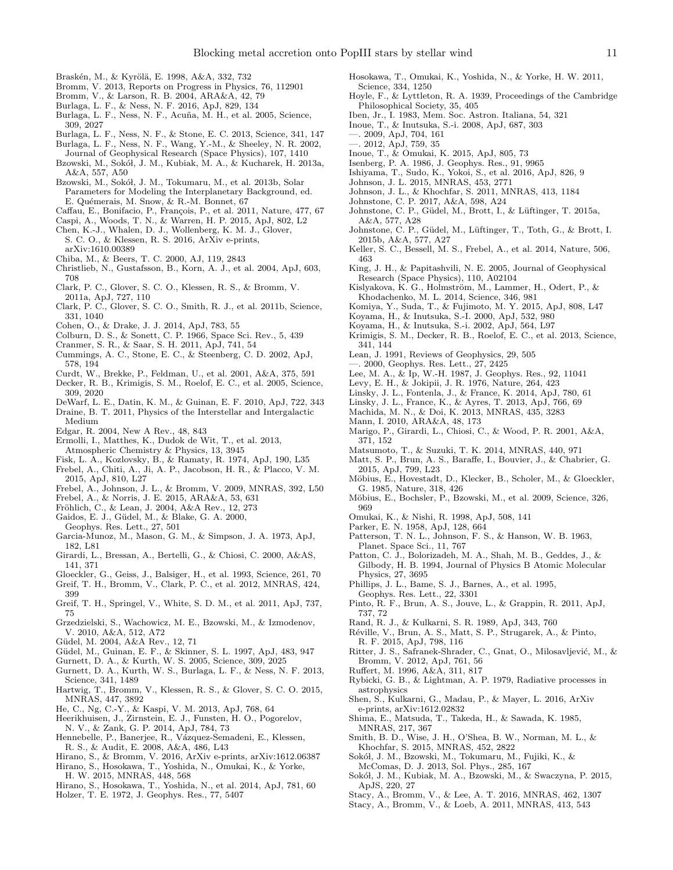- <span id="page-10-85"></span>Braskén, M., & Kyrölä, E. 1998, A&A, 332, 732
- <span id="page-10-4"></span>Bromm, V. 2013, Reports on Progress in Physics, 76, 112901
- <span id="page-10-1"></span>Bromm, V., & Larson, R. B. 2004, ARA&A, 42, 79
- <span id="page-10-26"></span>Burlaga, L. F., & Ness, N. F. 2016, ApJ, 829, 134
- <span id="page-10-49"></span>Burlaga, L. F., Ness, N. F., Acuña, M. H., et al. 2005, Science, 309, 2027
- <span id="page-10-23"></span>Burlaga, L. F., Ness, N. F., & Stone, E. C. 2013, Science, 341, 147
- <span id="page-10-88"></span>Burlaga, L. F., Ness, N. F., Wang, Y.-M., & Sheeley, N. R. 2002, Journal of Geophysical Research (Space Physics), 107, 1410
- <span id="page-10-73"></span>Bzowski, M., Sokół, J. M., Kubiak, M. A., & Kucharek, H. 2013a, A&A, 557, A50
- <span id="page-10-46"></span>Bzowski, M., Sokół, J. M., Tokumaru, M., et al. 2013b, Solar Parameters for Modeling the Interplanetary Background, ed. E. Quémerais, M. Snow, & R.-M. Bonnet, 67
- <span id="page-10-69"></span>Caffau, E., Bonifacio, P., François, P., et al. 2011, Nature, 477, 67
- <span id="page-10-76"></span>Caspi, A., Woods, T. N., & Warren, H. P. 2015, ApJ, 802, L2
- <span id="page-10-67"></span>Chen, K.-J., Whalen, D. J., Wollenberg, K. M. J., Glover, S. C. O., & Klessen, R. S. 2016, ArXiv e-prints, arXiv:1610.00389
- <span id="page-10-57"></span>Chiba, M., & Beers, T. C. 2000, AJ, 119, 2843
- <span id="page-10-68"></span>Christlieb, N., Gustafsson, B., Korn, A. J., et al. 2004, ApJ, 603, 708
- <span id="page-10-7"></span>Clark, P. C., Glover, S. C. O., Klessen, R. S., & Bromm, V. 2011a, ApJ, 727, 110
- <span id="page-10-8"></span>Clark, P. C., Glover, S. C. O., Smith, R. J., et al. 2011b, Science, 331, 1040
- <span id="page-10-97"></span>Cohen, O., & Drake, J. J. 2014, ApJ, 783, 55
- <span id="page-10-27"></span>Colburn, D. S., & Sonett, C. P. 1966, Space Sci. Rev., 5, 439
- <span id="page-10-81"></span>Cranmer, S. R., & Saar, S. H. 2011, ApJ, 741, 54
- <span id="page-10-72"></span>Cummings, A. C., Stone, E. C., & Steenberg, C. D. 2002, ApJ, 578, 194
- <span id="page-10-78"></span>Curdt, W., Brekke, P., Feldman, U., et al. 2001, A&A, 375, 591
- <span id="page-10-50"></span>Decker, R. B., Krimigis, S. M., Roelof, E. C., et al. 2005, Science, 309, 2020
- <span id="page-10-48"></span>DeWarf, L. E., Datin, K. M., & Guinan, E. F. 2010, ApJ, 722, 343
- <span id="page-10-56"></span>Draine, B. T. 2011, Physics of the Interstellar and Intergalactic Medium
- <span id="page-10-54"></span>Edgar, R. 2004, New A Rev., 48, 843
- <span id="page-10-80"></span>Ermolli, I., Matthes, K., Dudok de Wit, T., et al. 2013, Atmospheric Chemistry & Physics, 13, 3945
- <span id="page-10-35"></span>Fisk, L. A., Kozlovsky, B., & Ramaty, R. 1974, ApJ, 190, L35
- <span id="page-10-70"></span>Frebel, A., Chiti, A., Ji, A. P., Jacobson, H. R., & Placco, V. M. 2015, ApJ, 810, L27
- <span id="page-10-18"></span>Frebel, A., Johnson, J. L., & Bromm, V. 2009, MNRAS, 392, L50
- <span id="page-10-14"></span>Frebel, A., & Norris, J. E. 2015, ARA&A, 53, 631
- <span id="page-10-79"></span>Fröhlich, C., & Lean, J. 2004, A&A Rev., 12, 273
- <span id="page-10-40"></span>Gaidos, E. J., Güdel, M., & Blake, G. A. 2000,
- Geophys. Res. Lett., 27, 501
- <span id="page-10-34"></span>Garcia-Munoz, M., Mason, G. M., & Simpson, J. A. 1973, ApJ, 182, L81
- <span id="page-10-37"></span>Girardi, L., Bressan, A., Bertelli, G., & Chiosi, C. 2000, A&AS, 141, 371
- <span id="page-10-33"></span><span id="page-10-10"></span>Gloeckler, G., Geiss, J., Balsiger, H., et al. 1993, Science, 261, 70 Greif, T. H., Bromm, V., Clark, P. C., et al. 2012, MNRAS, 424,
- 399
- <span id="page-10-9"></span>Greif, T. H., Springel, V., White, S. D. M., et al. 2011, ApJ, 737, 75
- <span id="page-10-87"></span>Grzedzielski, S., Wachowicz, M. E., Bzowski, M., & Izmodenov, V. 2010, A&A, 512, A72
- <span id="page-10-47"></span>Güdel, M. 2004, A&A Rev., 12, 71
- <span id="page-10-82"></span>Güdel, M., Guinan, E. F., & Skinner, S. L. 1997, ApJ, 483, 947
- <span id="page-10-51"></span>Gurnett, D. A., & Kurth, W. S. 2005, Science, 309, 2025
- <span id="page-10-24"></span>Gurnett, D. A., Kurth, W. S., Burlaga, L. F., & Ness, N. F. 2013, Science, 341, 1489
- <span id="page-10-15"></span>Hartwig, T., Bromm, V., Klessen, R. S., & Glover, S. C. O. 2015, MNRAS, 447, 3892
- <span id="page-10-71"></span>He, C., Ng, C.-Y., & Kaspi, V. M. 2013, ApJ, 768, 64
- <span id="page-10-55"></span>Heerikhuisen, J., Zirnstein, E. J., Funsten, H. O., Pogorelov,
- N. V., & Zank, G. P. 2014, ApJ, 784, 73
- <span id="page-10-63"></span>Hennebelle, P., Banerjee, R., Vázquez-Semadeni, E., Klessen, R. S., & Audit, E. 2008, A&A, 486, L43
- <span id="page-10-13"></span><span id="page-10-6"></span>Hirano, S., & Bromm, V. 2016, ArXiv e-prints, arXiv:1612.06387 Hirano, S., Hosokawa, T., Yoshida, N., Omukai, K., & Yorke,
- H. W. 2015, MNRAS, 448, 568
- <span id="page-10-94"></span><span id="page-10-5"></span>Hirano, S., Hosokawa, T., Yoshida, N., et al. 2014, ApJ, 781, 60 Holzer, T. E. 1972, J. Geophys. Res., 77, 5407
- <span id="page-10-3"></span>Hosokawa, T., Omukai, K., Yoshida, N., & Yorke, H. W. 2011, Science, 334, 1250
- <span id="page-10-21"></span>Hoyle, F., & Lyttleton, R. A. 1939, Proceedings of the Cambridge Philosophical Society, 35, 405
- <span id="page-10-17"></span>Iben, Jr., I. 1983, Mem. Soc. Astron. Italiana, 54, 321
- <span id="page-10-61"></span><span id="page-10-60"></span>Inoue, T., & Inutsuka, S.-i. 2008, ApJ, 687, 303
- —. 2009, ApJ, 704, 161
- <span id="page-10-62"></span>—. 2012, ApJ, 759, 35
- <span id="page-10-64"></span><span id="page-10-30"></span>Inoue, T., & Omukai, K. 2015, ApJ, 805, 73
- Isenberg, P. A. 1986, J. Geophys. Res., 91, 9965
- <span id="page-10-16"></span>Ishiyama, T., Sudo, K., Yokoi, S., et al. 2016, ApJ, 826, 9
- <span id="page-10-91"></span>Johnson, J. L. 2015, MNRAS, 453, 2771
- <span id="page-10-22"></span>Johnson, J. L., & Khochfar, S. 2011, MNRAS, 413, 1184
- <span id="page-10-100"></span>Johnstone, C. P. 2017, A&A, 598, A24
- <span id="page-10-98"></span>Johnstone, C. P., Güdel, M., Brott, I., & Lüftinger, T. 2015a, A&A, 577, A28
- <span id="page-10-99"></span>Johnstone, C. P., Güdel, M., Lüftinger, T., Toth, G., & Brott, I. 2015b, A&A, 577, A27
- <span id="page-10-89"></span>Keller, S. C., Bessell, M. S., Frebel, A., et al. 2014, Nature, 506, 463
- <span id="page-10-45"></span>King, J. H., & Papitashvili, N. E. 2005, Journal of Geophysical Research (Space Physics), 110, A02104
- <span id="page-10-41"></span>Kislyakova, K. G., Holmström, M., Lammer, H., Odert, P.,  $\&$ Khodachenko, M. L. 2014, Science, 346, 981
- <span id="page-10-19"></span>Komiya, Y., Suda, T., & Fujimoto, M. Y. 2015, ApJ, 808, L47
- <span id="page-10-58"></span>Koyama, H., & Inutsuka, S.-I. 2000, ApJ, 532, 980
- <span id="page-10-59"></span>Koyama, H., & Inutsuka, S.-i. 2002, ApJ, 564, L97
- <span id="page-10-25"></span>Krimigis, S. M., Decker, R. B., Roelof, E. C., et al. 2013, Science, 341, 144
- <span id="page-10-77"></span><span id="page-10-75"></span>Lean, J. 1991, Reviews of Geophysics, 29, 505
- —. 2000, Geophys. Res. Lett., 27, 2425
- <span id="page-10-31"></span>Lee, M. A., & Ip, W.-H. 1987, J. Geophys. Res., 92, 11041
- <span id="page-10-92"></span>Levy, E. H., & Jokipii, J. R. 1976, Nature, 264, 423
- <span id="page-10-84"></span>Linsky, J. L., Fontenla, J., & France, K. 2014, ApJ, 780, 61
- <span id="page-10-83"></span>Linsky, J. L., France, K., & Ayres, T. 2013, ApJ, 766, 69
- <span id="page-10-11"></span>Machida, M. N., & Doi, K. 2013, MNRAS, 435, 3283
- <span id="page-10-93"></span>Mann, I. 2010, ARA&A, 48, 173
- <span id="page-10-36"></span>Marigo, P., Girardi, L., Chiosi, C., & Wood, P. R. 2001, A&A, 371, 152
- <span id="page-10-38"></span>Matsumoto, T., & Suzuki, T. K. 2014, MNRAS, 440, 971
- <span id="page-10-39"></span>Matt, S. P., Brun, A. S., Baraffe, I., Bouvier, J., & Chabrier, G. 2015, ApJ, 799, L23
- <span id="page-10-32"></span>Möbius, E., Hovestadt, D., Klecker, B., Scholer, M., & Gloeckler, G. 1985, Nature, 318, 426
- <span id="page-10-29"></span>Möbius, E., Bochsler, P., Bzowski, M., et al. 2009, Science, 326, 969
- <span id="page-10-0"></span>Omukai, K., & Nishi, R. 1998, ApJ, 508, 141
- <span id="page-10-42"></span>Parker, E. N. 1958, ApJ, 128, 664
- <span id="page-10-28"></span>Patterson, T. N. L., Johnson, F. S., & Hanson, W. B. 1963, Planet. Space Sci., 11, 767
- <span id="page-10-90"></span>Patton, C. J., Bolorizadeh, M. A., Shah, M. B., Geddes, J., & Gilbody, H. B. 1994, Journal of Physics B Atomic Molecular Physics, 27, 3695
- <span id="page-10-43"></span>Phillips, J. L., Bame, S. J., Barnes, A., et al. 1995, Geophys. Res. Lett., 22, 3301
- <span id="page-10-96"></span>Pinto, R. F., Brun, A. S., Jouve, L., & Grappin, R. 2011, ApJ, 737, 72
- <span id="page-10-52"></span>Rand, R. J., & Kulkarni, S. R. 1989, ApJ, 343, 760
- <span id="page-10-101"></span>R´eville, V., Brun, A. S., Matt, S. P., Strugarek, A., & Pinto, R. F. 2015, ApJ, 798, 116
- <span id="page-10-65"></span>Ritter, J. S., Safranek-Shrader, C., Gnat, O., Milosavljević, M., & Bromm, V. 2012, ApJ, 761, 56
- <span id="page-10-95"></span>Ruffert, M. 1996, A&A, 311, 817

ApJS, 220, 27

- <span id="page-10-74"></span>Rybicki, G. B., & Lightman, A. P. 1979, Radiative processes in astrophysics
- <span id="page-10-20"></span>Shen, S., Kulkarni, G., Madau, P., & Mayer, L. 2016, ArXiv e-prints, arXiv:1612.02832
- <span id="page-10-53"></span>Shima, E., Matsuda, T., Takeda, H., & Sawada, K. 1985, MNRAS, 217, 367

McComas, D. J. 2013, Sol. Phys., 285, 167

<span id="page-10-66"></span><span id="page-10-44"></span>Smith, B. D., Wise, J. H., O'Shea, B. W., Norman, M. L., & Khochfar, S. 2015, MNRAS, 452, 2822 Sokół, J. M., Bzowski, M., Tokumaru, M., Fujiki, K., &

<span id="page-10-86"></span>Sokół, J. M., Kubiak, M. A., Bzowski, M., & Swaczyna, P. 2015,

<span id="page-10-12"></span><span id="page-10-2"></span>Stacy, A., Bromm, V., & Lee, A. T. 2016, MNRAS, 462, 1307 Stacy, A., Bromm, V., & Loeb, A. 2011, MNRAS, 413, 543